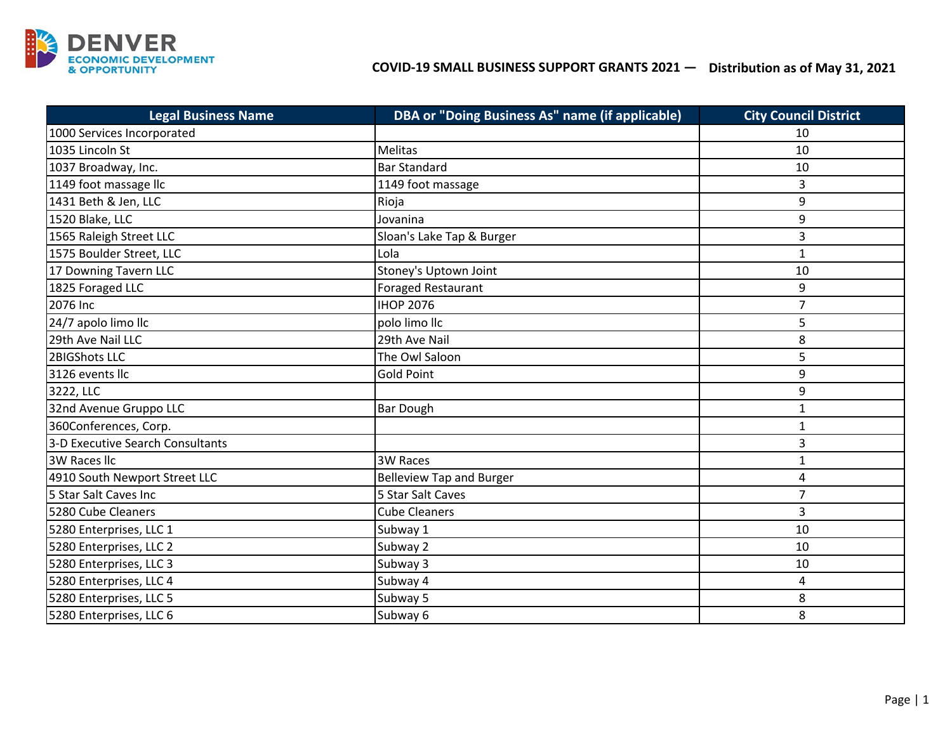

## **Distribution as of May 31, 2021 COVID‐19 SMALL BUSINESS SUPPORT GRANTS 2021 —**

| <b>Legal Business Name</b>       | DBA or "Doing Business As" name (if applicable) | <b>City Council District</b> |
|----------------------------------|-------------------------------------------------|------------------------------|
| 1000 Services Incorporated       |                                                 | 10                           |
| 1035 Lincoln St                  | <b>Melitas</b>                                  | 10                           |
| 1037 Broadway, Inc.              | <b>Bar Standard</b>                             | 10                           |
| 1149 foot massage llc            | 1149 foot massage                               | 3                            |
| 1431 Beth & Jen, LLC             | Rioja                                           | 9                            |
| 1520 Blake, LLC                  | Jovanina                                        | 9                            |
| 1565 Raleigh Street LLC          | Sloan's Lake Tap & Burger                       | 3                            |
| 1575 Boulder Street, LLC         | Lola                                            | $\mathbf{1}$                 |
| 17 Downing Tavern LLC            | Stoney's Uptown Joint                           | 10                           |
| 1825 Foraged LLC                 | <b>Foraged Restaurant</b>                       | 9                            |
| 2076 Inc                         | <b>IHOP 2076</b>                                | 7                            |
| 24/7 apolo limo llc              | polo limo llc                                   | 5                            |
| 29th Ave Nail LLC                | 29th Ave Nail                                   | 8                            |
| 2BIGShots LLC                    | The Owl Saloon                                  | 5                            |
| 3126 events llc                  | <b>Gold Point</b>                               | 9                            |
| 3222, LLC                        |                                                 | 9                            |
| 32nd Avenue Gruppo LLC           | <b>Bar Dough</b>                                | $\mathbf{1}$                 |
| 360Conferences, Corp.            |                                                 | $\mathbf{1}$                 |
| 3-D Executive Search Consultants |                                                 | 3                            |
| <b>3W Races Ilc</b>              | <b>3W Races</b>                                 | $\mathbf{1}$                 |
| 4910 South Newport Street LLC    | <b>Belleview Tap and Burger</b>                 | 4                            |
| 5 Star Salt Caves Inc            | 5 Star Salt Caves                               | $\overline{7}$               |
| 5280 Cube Cleaners               | <b>Cube Cleaners</b>                            | 3                            |
| 5280 Enterprises, LLC 1          | Subway 1                                        | 10                           |
| 5280 Enterprises, LLC 2          | Subway 2                                        | 10                           |
| 5280 Enterprises, LLC 3          | Subway 3                                        | 10                           |
| 5280 Enterprises, LLC 4          | Subway 4                                        | 4                            |
| 5280 Enterprises, LLC 5          | Subway 5                                        | 8                            |
| 5280 Enterprises, LLC 6          | Subway 6                                        | 8                            |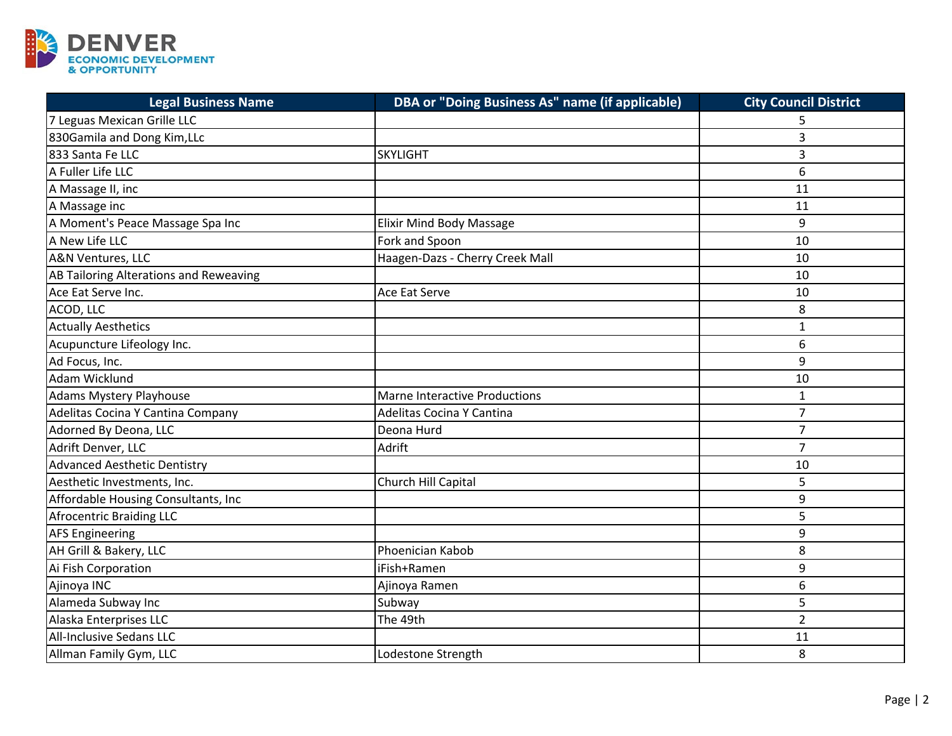

| <b>Legal Business Name</b>             | DBA or "Doing Business As" name (if applicable) | <b>City Council District</b> |
|----------------------------------------|-------------------------------------------------|------------------------------|
| 7 Leguas Mexican Grille LLC            |                                                 |                              |
| 830Gamila and Dong Kim, LLc            |                                                 | 3                            |
| 833 Santa Fe LLC                       | <b>SKYLIGHT</b>                                 | 3                            |
| A Fuller Life LLC                      |                                                 | 6                            |
| A Massage II, inc                      |                                                 | 11                           |
| A Massage inc                          |                                                 | 11                           |
| A Moment's Peace Massage Spa Inc       | <b>Elixir Mind Body Massage</b>                 | 9                            |
| A New Life LLC                         | Fork and Spoon                                  | 10                           |
| A&N Ventures, LLC                      | Haagen-Dazs - Cherry Creek Mall                 | 10                           |
| AB Tailoring Alterations and Reweaving |                                                 | 10                           |
| Ace Eat Serve Inc.                     | Ace Eat Serve                                   | 10                           |
| ACOD, LLC                              |                                                 | 8                            |
| <b>Actually Aesthetics</b>             |                                                 | $\mathbf{1}$                 |
| Acupuncture Lifeology Inc.             |                                                 | 6                            |
| Ad Focus, Inc.                         |                                                 | 9                            |
| Adam Wicklund                          |                                                 | 10                           |
| Adams Mystery Playhouse                | <b>Marne Interactive Productions</b>            | $\mathbf{1}$                 |
| Adelitas Cocina Y Cantina Company      | Adelitas Cocina Y Cantina                       | $\overline{7}$               |
| Adorned By Deona, LLC                  | Deona Hurd                                      | $\overline{7}$               |
| Adrift Denver, LLC                     | Adrift                                          | $\overline{7}$               |
| <b>Advanced Aesthetic Dentistry</b>    |                                                 | 10                           |
| Aesthetic Investments, Inc.            | Church Hill Capital                             | 5                            |
| Affordable Housing Consultants, Inc    |                                                 | 9                            |
| <b>Afrocentric Braiding LLC</b>        |                                                 | 5                            |
| <b>AFS Engineering</b>                 |                                                 | 9                            |
| AH Grill & Bakery, LLC                 | Phoenician Kabob                                | 8                            |
| Ai Fish Corporation                    | iFish+Ramen                                     | 9                            |
| Ajinoya INC                            | Ajinoya Ramen                                   | 6                            |
| Alameda Subway Inc                     | Subway                                          | 5                            |
| Alaska Enterprises LLC                 | The 49th                                        | $\overline{2}$               |
| <b>All-Inclusive Sedans LLC</b>        |                                                 | 11                           |
| Allman Family Gym, LLC                 | Lodestone Strength                              | 8                            |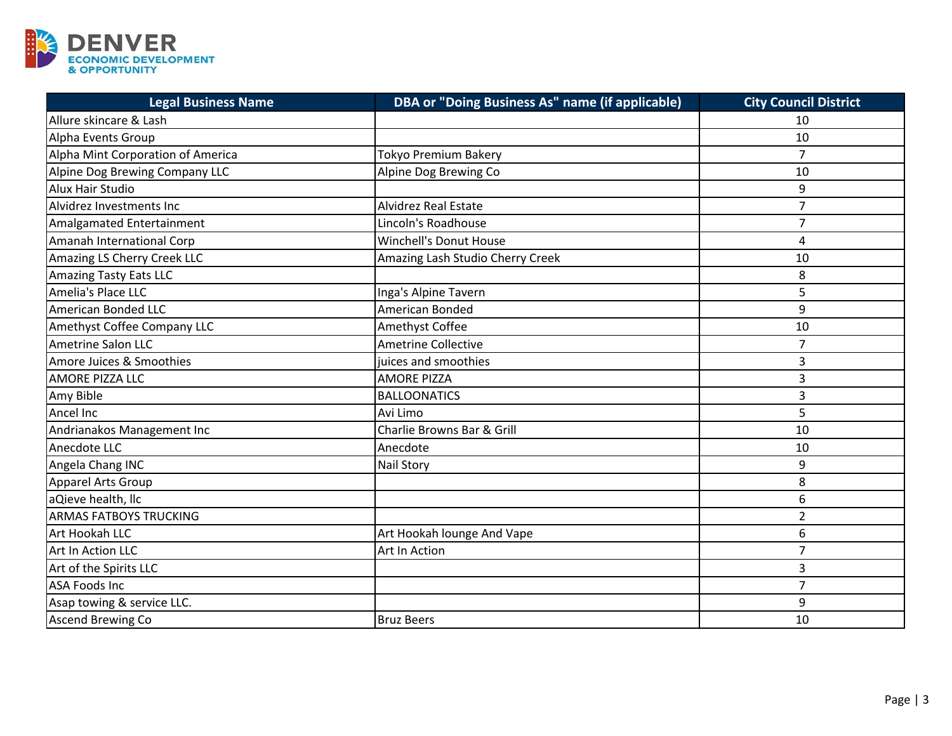

| <b>Legal Business Name</b>        | DBA or "Doing Business As" name (if applicable) | <b>City Council District</b> |
|-----------------------------------|-------------------------------------------------|------------------------------|
| Allure skincare & Lash            |                                                 | 10                           |
| Alpha Events Group                |                                                 | 10                           |
| Alpha Mint Corporation of America | Tokyo Premium Bakery                            | $\overline{7}$               |
| Alpine Dog Brewing Company LLC    | Alpine Dog Brewing Co                           | 10                           |
| Alux Hair Studio                  |                                                 | 9                            |
| Alvidrez Investments Inc          | <b>Alvidrez Real Estate</b>                     | $\overline{7}$               |
| Amalgamated Entertainment         | Lincoln's Roadhouse                             | $\overline{7}$               |
| Amanah International Corp         | <b>Winchell's Donut House</b>                   | $\overline{4}$               |
| Amazing LS Cherry Creek LLC       | Amazing Lash Studio Cherry Creek                | 10                           |
| <b>Amazing Tasty Eats LLC</b>     |                                                 | 8                            |
| Amelia's Place LLC                | Inga's Alpine Tavern                            | 5                            |
| American Bonded LLC               | <b>American Bonded</b>                          | 9                            |
| Amethyst Coffee Company LLC       | Amethyst Coffee                                 | 10                           |
| Ametrine Salon LLC                | <b>Ametrine Collective</b>                      | 7                            |
| Amore Juices & Smoothies          | juices and smoothies                            | 3                            |
| <b>AMORE PIZZA LLC</b>            | <b>AMORE PIZZA</b>                              | 3                            |
| Amy Bible                         | <b>BALLOONATICS</b>                             | 3                            |
| Ancel Inc                         | Avi Limo                                        | 5                            |
| Andrianakos Management Inc        | Charlie Browns Bar & Grill                      | 10                           |
| Anecdote LLC                      | Anecdote                                        | 10                           |
| Angela Chang INC                  | <b>Nail Story</b>                               | 9                            |
| Apparel Arts Group                |                                                 | 8                            |
| aQieve health, llc                |                                                 | 6                            |
| <b>ARMAS FATBOYS TRUCKING</b>     |                                                 | $\overline{2}$               |
| Art Hookah LLC                    | Art Hookah lounge And Vape                      | 6                            |
| Art In Action LLC                 | Art In Action                                   | $\overline{7}$               |
| Art of the Spirits LLC            |                                                 | 3                            |
| <b>ASA Foods Inc</b>              |                                                 | $\overline{7}$               |
| Asap towing & service LLC.        |                                                 | 9                            |
| <b>Ascend Brewing Co</b>          | <b>Bruz Beers</b>                               | 10                           |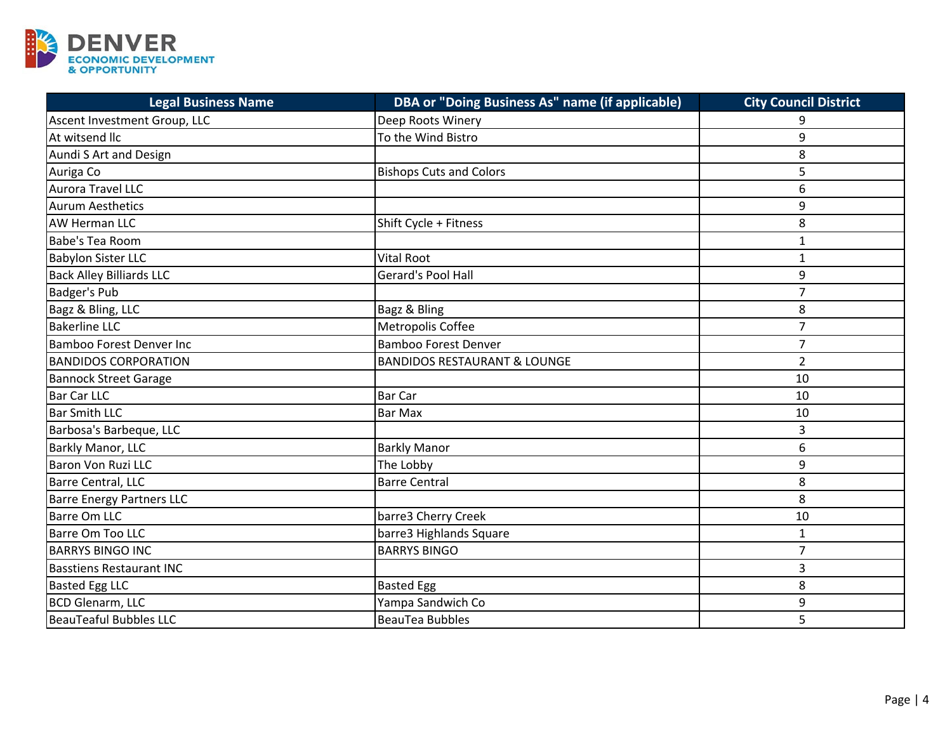

| <b>Legal Business Name</b>       | DBA or "Doing Business As" name (if applicable) | <b>City Council District</b> |
|----------------------------------|-------------------------------------------------|------------------------------|
| Ascent Investment Group, LLC     | Deep Roots Winery                               |                              |
| At witsend llc                   | To the Wind Bistro                              | 9                            |
| Aundi S Art and Design           |                                                 | 8                            |
| Auriga Co                        | <b>Bishops Cuts and Colors</b>                  | 5                            |
| Aurora Travel LLC                |                                                 | 6                            |
| <b>Aurum Aesthetics</b>          |                                                 | 9                            |
| <b>AW Herman LLC</b>             | Shift Cycle + Fitness                           | 8                            |
| <b>Babe's Tea Room</b>           |                                                 | $\mathbf{1}$                 |
| <b>Babylon Sister LLC</b>        | <b>Vital Root</b>                               | $\mathbf{1}$                 |
| <b>Back Alley Billiards LLC</b>  | Gerard's Pool Hall                              | 9                            |
| <b>Badger's Pub</b>              |                                                 | $\overline{7}$               |
| Bagz & Bling, LLC                | Bagz & Bling                                    | 8                            |
| <b>Bakerline LLC</b>             | Metropolis Coffee                               | $\overline{7}$               |
| <b>Bamboo Forest Denver Inc</b>  | <b>Bamboo Forest Denver</b>                     | $\overline{7}$               |
| <b>BANDIDOS CORPORATION</b>      | <b>BANDIDOS RESTAURANT &amp; LOUNGE</b>         | $\overline{2}$               |
| <b>Bannock Street Garage</b>     |                                                 | 10                           |
| <b>Bar Car LLC</b>               | Bar Car                                         | 10                           |
| <b>Bar Smith LLC</b>             | <b>Bar Max</b>                                  | 10                           |
| Barbosa's Barbeque, LLC          |                                                 | 3                            |
| Barkly Manor, LLC                | <b>Barkly Manor</b>                             | 6                            |
| <b>Baron Von Ruzi LLC</b>        | The Lobby                                       | 9                            |
| Barre Central, LLC               | <b>Barre Central</b>                            | 8                            |
| <b>Barre Energy Partners LLC</b> |                                                 | 8                            |
| <b>Barre Om LLC</b>              | barre3 Cherry Creek                             | 10                           |
| Barre Om Too LLC                 | barre3 Highlands Square                         | $\mathbf{1}$                 |
| <b>BARRYS BINGO INC</b>          | <b>BARRYS BINGO</b>                             | $\overline{7}$               |
| <b>Basstiens Restaurant INC</b>  |                                                 | 3                            |
| <b>Basted Egg LLC</b>            | <b>Basted Egg</b>                               | 8                            |
| <b>BCD Glenarm, LLC</b>          | Yampa Sandwich Co                               | 9                            |
| <b>BeauTeaful Bubbles LLC</b>    | <b>BeauTea Bubbles</b>                          | 5                            |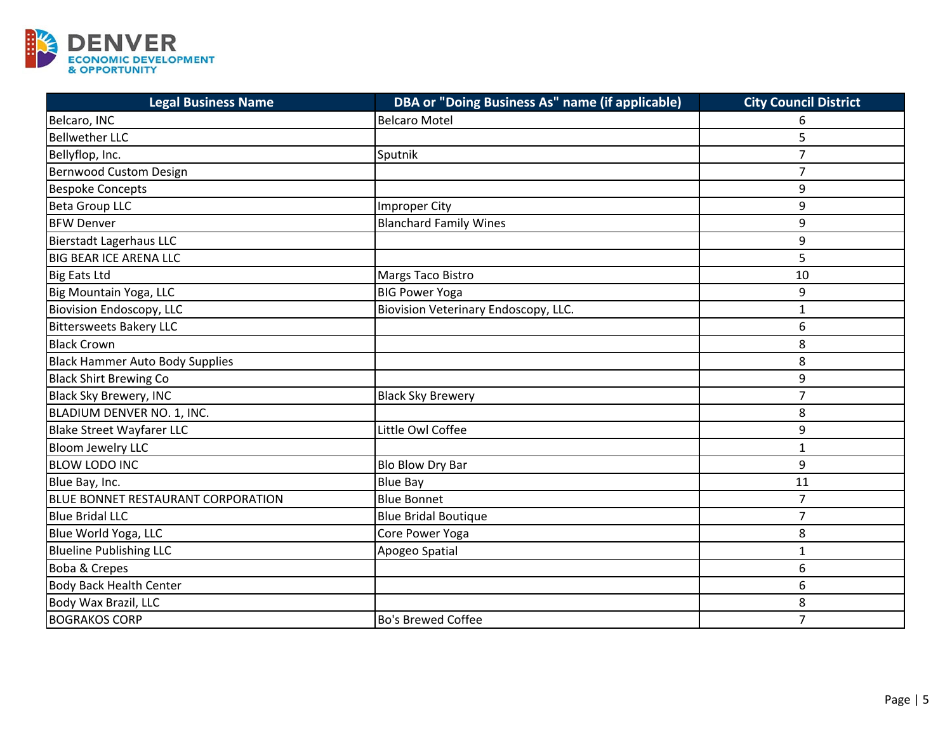

| <b>Legal Business Name</b>             | DBA or "Doing Business As" name (if applicable) | <b>City Council District</b> |
|----------------------------------------|-------------------------------------------------|------------------------------|
| Belcaro, INC                           | <b>Belcaro Motel</b>                            | 6                            |
| <b>Bellwether LLC</b>                  |                                                 | 5                            |
| Bellyflop, Inc.                        | Sputnik                                         | $\overline{7}$               |
| <b>Bernwood Custom Design</b>          |                                                 | $\overline{7}$               |
| <b>Bespoke Concepts</b>                |                                                 | 9                            |
| <b>Beta Group LLC</b>                  | <b>Improper City</b>                            | 9                            |
| <b>BFW Denver</b>                      | <b>Blanchard Family Wines</b>                   | 9                            |
| <b>Bierstadt Lagerhaus LLC</b>         |                                                 | 9                            |
| <b>BIG BEAR ICE ARENA LLC</b>          |                                                 | 5                            |
| <b>Big Eats Ltd</b>                    | Margs Taco Bistro                               | 10                           |
| Big Mountain Yoga, LLC                 | <b>BIG Power Yoga</b>                           | 9                            |
| <b>Biovision Endoscopy, LLC</b>        | Biovision Veterinary Endoscopy, LLC.            | $\mathbf{1}$                 |
| <b>Bittersweets Bakery LLC</b>         |                                                 | 6                            |
| <b>Black Crown</b>                     |                                                 | 8                            |
| <b>Black Hammer Auto Body Supplies</b> |                                                 | 8                            |
| <b>Black Shirt Brewing Co</b>          |                                                 | 9                            |
| <b>Black Sky Brewery, INC</b>          | <b>Black Sky Brewery</b>                        | $\overline{7}$               |
| BLADIUM DENVER NO. 1, INC.             |                                                 | 8                            |
| <b>Blake Street Wayfarer LLC</b>       | Little Owl Coffee                               | 9                            |
| <b>Bloom Jewelry LLC</b>               |                                                 | 1                            |
| <b>BLOW LODO INC</b>                   | Blo Blow Dry Bar                                | 9                            |
| Blue Bay, Inc.                         | <b>Blue Bay</b>                                 | 11                           |
| BLUE BONNET RESTAURANT CORPORATION     | <b>Blue Bonnet</b>                              | $\overline{7}$               |
| <b>Blue Bridal LLC</b>                 | <b>Blue Bridal Boutique</b>                     | $\overline{7}$               |
| Blue World Yoga, LLC                   | Core Power Yoga                                 | 8                            |
| <b>Blueline Publishing LLC</b>         | Apogeo Spatial                                  | $\mathbf{1}$                 |
| Boba & Crepes                          |                                                 | 6                            |
| <b>Body Back Health Center</b>         |                                                 | 6                            |
| Body Wax Brazil, LLC                   |                                                 | 8                            |
| <b>BOGRAKOS CORP</b>                   | <b>Bo's Brewed Coffee</b>                       | $\overline{7}$               |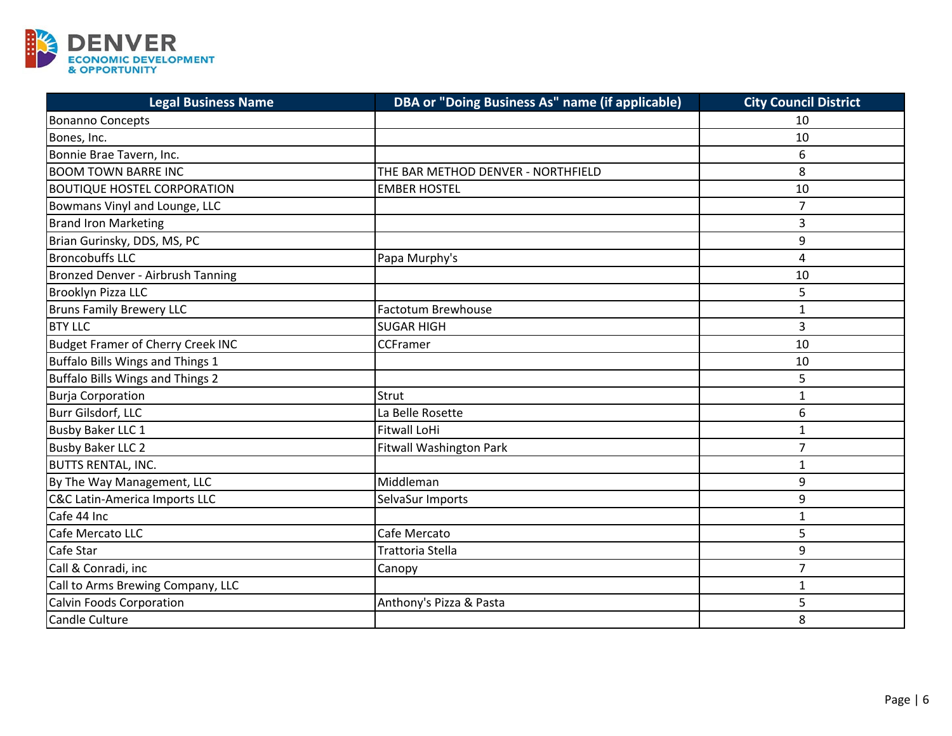

| <b>Legal Business Name</b>               | DBA or "Doing Business As" name (if applicable) | <b>City Council District</b> |
|------------------------------------------|-------------------------------------------------|------------------------------|
| <b>Bonanno Concepts</b>                  |                                                 | 10                           |
| Bones, Inc.                              |                                                 | 10                           |
| Bonnie Brae Tavern, Inc.                 |                                                 | 6                            |
| <b>BOOM TOWN BARRE INC</b>               | THE BAR METHOD DENVER - NORTHFIELD              | 8                            |
| <b>BOUTIQUE HOSTEL CORPORATION</b>       | <b>EMBER HOSTEL</b>                             | 10                           |
| Bowmans Vinyl and Lounge, LLC            |                                                 | $\overline{7}$               |
| <b>Brand Iron Marketing</b>              |                                                 | 3                            |
| Brian Gurinsky, DDS, MS, PC              |                                                 | 9                            |
| <b>Broncobuffs LLC</b>                   | Papa Murphy's                                   | 4                            |
| Bronzed Denver - Airbrush Tanning        |                                                 | 10                           |
| Brooklyn Pizza LLC                       |                                                 | 5                            |
| <b>Bruns Family Brewery LLC</b>          | <b>Factotum Brewhouse</b>                       | $\mathbf{1}$                 |
| <b>BTY LLC</b>                           | <b>SUGAR HIGH</b>                               | 3                            |
| <b>Budget Framer of Cherry Creek INC</b> | CCFramer                                        | 10                           |
| Buffalo Bills Wings and Things 1         |                                                 | 10                           |
| Buffalo Bills Wings and Things 2         |                                                 | 5                            |
| <b>Burja Corporation</b>                 | Strut                                           | $\mathbf{1}$                 |
| Burr Gilsdorf, LLC                       | La Belle Rosette                                | 6                            |
| <b>Busby Baker LLC 1</b>                 | <b>Fitwall LoHi</b>                             | $\mathbf{1}$                 |
| <b>Busby Baker LLC 2</b>                 | <b>Fitwall Washington Park</b>                  | 7                            |
| <b>BUTTS RENTAL, INC.</b>                |                                                 | $\mathbf{1}$                 |
| By The Way Management, LLC               | Middleman                                       | 9                            |
| <b>C&amp;C Latin-America Imports LLC</b> | SelvaSur Imports                                | 9                            |
| Cafe 44 Inc                              |                                                 | $\mathbf{1}$                 |
| Cafe Mercato LLC                         | Cafe Mercato                                    | 5                            |
| Cafe Star                                | Trattoria Stella                                | 9                            |
| Call & Conradi, inc                      | Canopy                                          | $\overline{7}$               |
| Call to Arms Brewing Company, LLC        |                                                 | $\mathbf{1}$                 |
| <b>Calvin Foods Corporation</b>          | Anthony's Pizza & Pasta                         | 5                            |
| <b>Candle Culture</b>                    |                                                 | 8                            |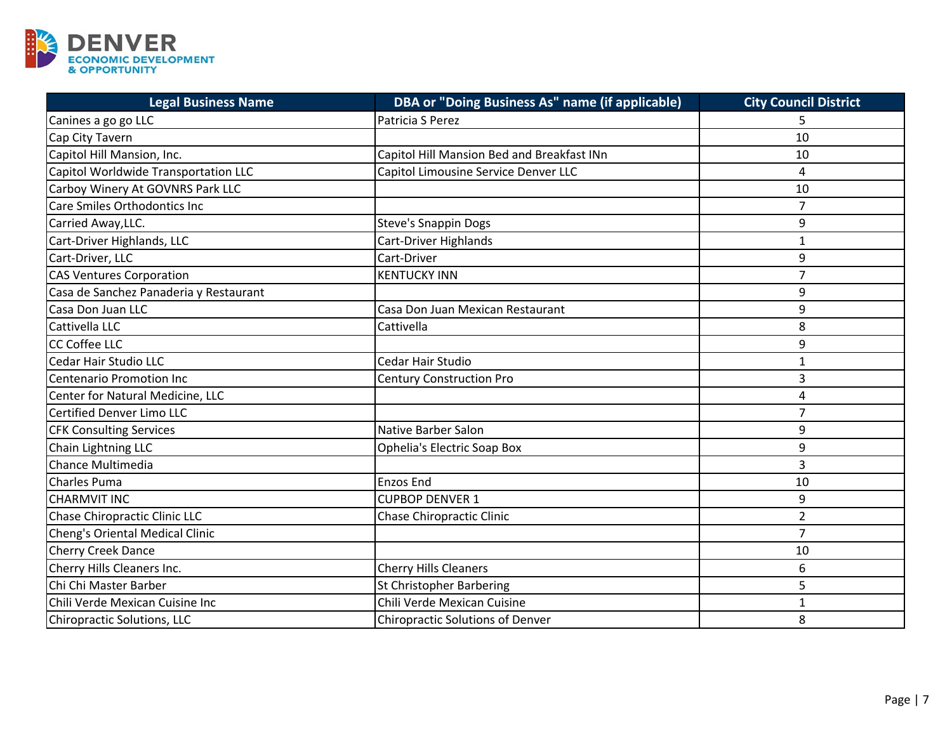

| <b>Legal Business Name</b>             | DBA or "Doing Business As" name (if applicable) | <b>City Council District</b> |
|----------------------------------------|-------------------------------------------------|------------------------------|
| Canines a go go LLC                    | Patricia S Perez                                |                              |
| Cap City Tavern                        |                                                 | 10                           |
| Capitol Hill Mansion, Inc.             | Capitol Hill Mansion Bed and Breakfast INn      | 10                           |
| Capitol Worldwide Transportation LLC   | Capitol Limousine Service Denver LLC            | 4                            |
| Carboy Winery At GOVNRS Park LLC       |                                                 | 10                           |
| Care Smiles Orthodontics Inc           |                                                 | $\overline{7}$               |
| Carried Away, LLC.                     | <b>Steve's Snappin Dogs</b>                     | 9                            |
| Cart-Driver Highlands, LLC             | Cart-Driver Highlands                           | $\mathbf{1}$                 |
| Cart-Driver, LLC                       | Cart-Driver                                     | 9                            |
| <b>CAS Ventures Corporation</b>        | <b>KENTUCKY INN</b>                             | $\overline{7}$               |
| Casa de Sanchez Panaderia y Restaurant |                                                 | 9                            |
| Casa Don Juan LLC                      | Casa Don Juan Mexican Restaurant                | 9                            |
| Cattivella LLC                         | Cattivella                                      | 8                            |
| <b>CC Coffee LLC</b>                   |                                                 | 9                            |
| Cedar Hair Studio LLC                  | Cedar Hair Studio                               | $\mathbf{1}$                 |
| Centenario Promotion Inc               | <b>Century Construction Pro</b>                 | 3                            |
| Center for Natural Medicine, LLC       |                                                 | $\overline{\mathbf{4}}$      |
| Certified Denver Limo LLC              |                                                 | $\overline{7}$               |
| <b>CFK Consulting Services</b>         | Native Barber Salon                             | 9                            |
| Chain Lightning LLC                    | <b>Ophelia's Electric Soap Box</b>              | 9                            |
| Chance Multimedia                      |                                                 | 3                            |
| <b>Charles Puma</b>                    | <b>Enzos End</b>                                | 10                           |
| <b>CHARMVIT INC</b>                    | <b>CUPBOP DENVER 1</b>                          | 9                            |
| Chase Chiropractic Clinic LLC          | Chase Chiropractic Clinic                       | $\overline{2}$               |
| Cheng's Oriental Medical Clinic        |                                                 | $\overline{7}$               |
| Cherry Creek Dance                     |                                                 | 10                           |
| Cherry Hills Cleaners Inc.             | <b>Cherry Hills Cleaners</b>                    | 6                            |
| Chi Chi Master Barber                  | St Christopher Barbering                        | 5                            |
| Chili Verde Mexican Cuisine Inc        | Chili Verde Mexican Cuisine                     | 1                            |
| Chiropractic Solutions, LLC            | <b>Chiropractic Solutions of Denver</b>         | 8                            |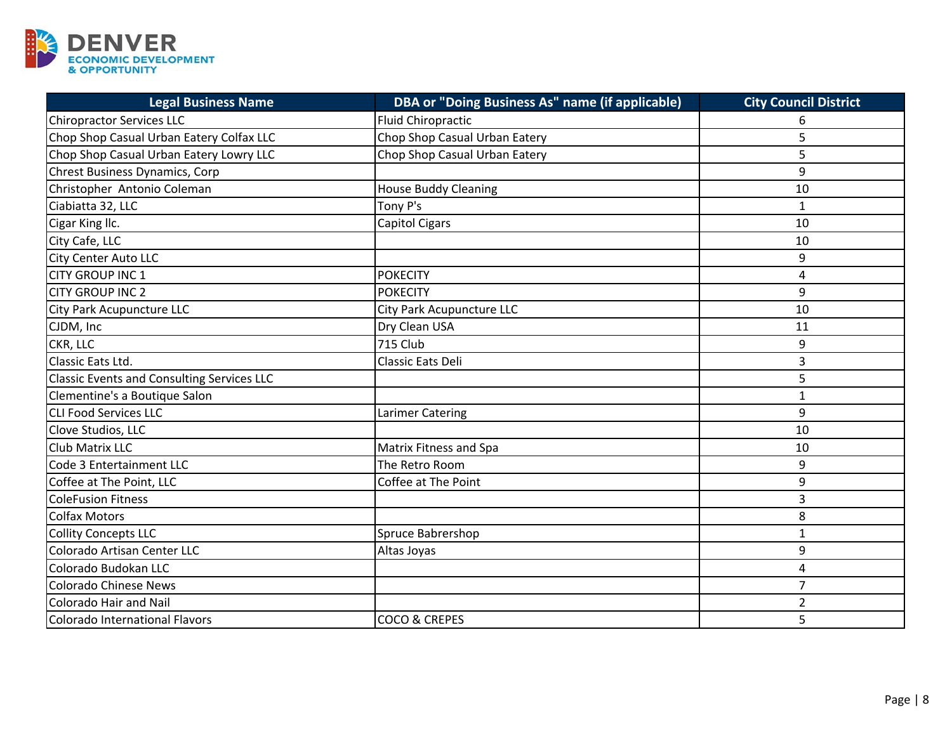

| <b>Legal Business Name</b>                        | DBA or "Doing Business As" name (if applicable) | <b>City Council District</b> |
|---------------------------------------------------|-------------------------------------------------|------------------------------|
| <b>Chiropractor Services LLC</b>                  | Fluid Chiropractic                              | 6                            |
| Chop Shop Casual Urban Eatery Colfax LLC          | Chop Shop Casual Urban Eatery                   | 5                            |
| Chop Shop Casual Urban Eatery Lowry LLC           | Chop Shop Casual Urban Eatery                   | 5                            |
| <b>Chrest Business Dynamics, Corp</b>             |                                                 | 9                            |
| Christopher Antonio Coleman                       | <b>House Buddy Cleaning</b>                     | 10                           |
| Ciabiatta 32, LLC                                 | Tony P's                                        | $\mathbf{1}$                 |
| Cigar King Ilc.                                   | Capitol Cigars                                  | 10                           |
| City Cafe, LLC                                    |                                                 | 10                           |
| <b>City Center Auto LLC</b>                       |                                                 | 9                            |
| <b>CITY GROUP INC 1</b>                           | <b>POKECITY</b>                                 | 4                            |
| <b>CITY GROUP INC 2</b>                           | <b>POKECITY</b>                                 | 9                            |
| City Park Acupuncture LLC                         | City Park Acupuncture LLC                       | 10                           |
| CJDM, Inc                                         | Dry Clean USA                                   | 11                           |
| CKR, LLC                                          | <b>715 Club</b>                                 | 9                            |
| Classic Eats Ltd.                                 | Classic Eats Deli                               | 3                            |
| <b>Classic Events and Consulting Services LLC</b> |                                                 | 5                            |
| Clementine's a Boutique Salon                     |                                                 | $\mathbf{1}$                 |
| <b>CLI Food Services LLC</b>                      | Larimer Catering                                | 9                            |
| Clove Studios, LLC                                |                                                 | 10                           |
| Club Matrix LLC                                   | Matrix Fitness and Spa                          | 10                           |
| Code 3 Entertainment LLC                          | The Retro Room                                  | 9                            |
| Coffee at The Point, LLC                          | Coffee at The Point                             | 9                            |
| <b>ColeFusion Fitness</b>                         |                                                 | 3                            |
| <b>Colfax Motors</b>                              |                                                 | 8                            |
| <b>Collity Concepts LLC</b>                       | Spruce Babrershop                               | $\mathbf{1}$                 |
| Colorado Artisan Center LLC                       | Altas Joyas                                     | 9                            |
| Colorado Budokan LLC                              |                                                 | 4                            |
| <b>Colorado Chinese News</b>                      |                                                 | $\overline{7}$               |
| <b>Colorado Hair and Nail</b>                     |                                                 | $\overline{2}$               |
| Colorado International Flavors                    | <b>COCO &amp; CREPES</b>                        | 5                            |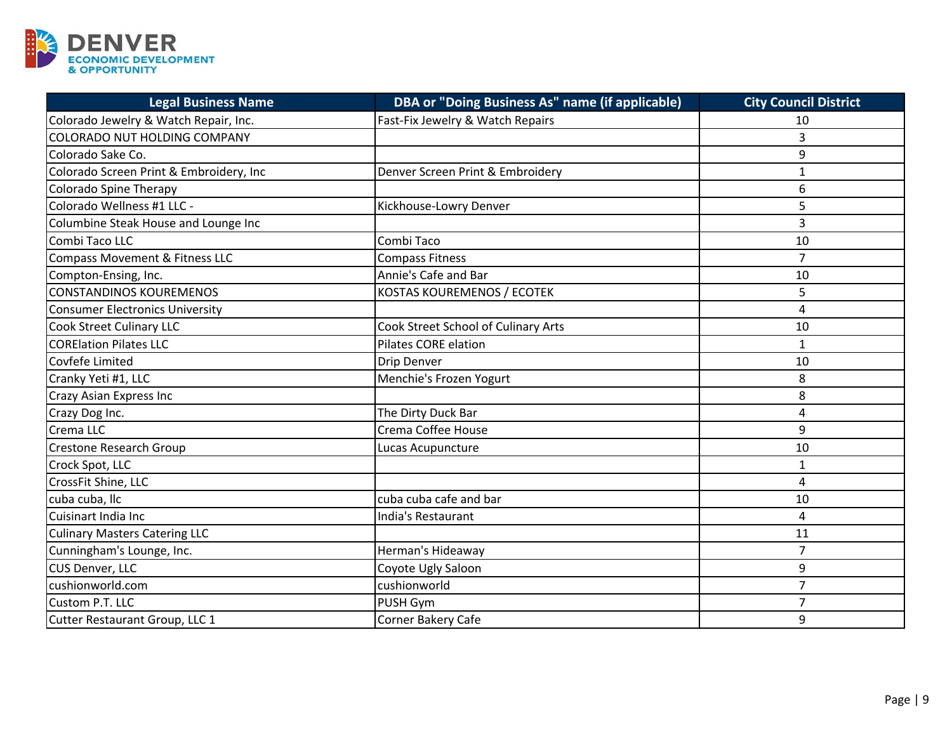

| <b>Legal Business Name</b>                | DBA or "Doing Business As" name (if applicable) | <b>City Council District</b> |
|-------------------------------------------|-------------------------------------------------|------------------------------|
| Colorado Jewelry & Watch Repair, Inc.     | Fast-Fix Jewelry & Watch Repairs                | 10                           |
| <b>COLORADO NUT HOLDING COMPANY</b>       |                                                 | 3                            |
| Colorado Sake Co.                         |                                                 | 9                            |
| Colorado Screen Print & Embroidery, Inc   | Denver Screen Print & Embroidery                | $\mathbf{1}$                 |
| <b>Colorado Spine Therapy</b>             |                                                 | 6                            |
| Colorado Wellness #1 LLC -                | Kickhouse-Lowry Denver                          | 5                            |
| Columbine Steak House and Lounge Inc      |                                                 | 3                            |
| Combi Taco LLC                            | Combi Taco                                      | 10                           |
| <b>Compass Movement &amp; Fitness LLC</b> | <b>Compass Fitness</b>                          | $\overline{7}$               |
| Compton-Ensing, Inc.                      | Annie's Cafe and Bar                            | 10                           |
| <b>CONSTANDINOS KOUREMENOS</b>            | KOSTAS KOUREMENOS / ECOTEK                      | 5                            |
| Consumer Electronics University           |                                                 | $\overline{4}$               |
| <b>Cook Street Culinary LLC</b>           | Cook Street School of Culinary Arts             | 10                           |
| <b>CORElation Pilates LLC</b>             | <b>Pilates CORE elation</b>                     | $\mathbf{1}$                 |
| Covfefe Limited                           | Drip Denver                                     | 10                           |
| Cranky Yeti #1, LLC                       | Menchie's Frozen Yogurt                         | 8                            |
| Crazy Asian Express Inc                   |                                                 | 8                            |
| Crazy Dog Inc.                            | The Dirty Duck Bar                              | 4                            |
| Crema LLC                                 | Crema Coffee House                              | 9                            |
| <b>Crestone Research Group</b>            | Lucas Acupuncture                               | 10                           |
| Crock Spot, LLC                           |                                                 | 1                            |
| CrossFit Shine, LLC                       |                                                 | 4                            |
| cuba cuba, Ilc                            | cuba cuba cafe and bar                          | 10                           |
| Cuisinart India Inc                       | India's Restaurant                              | $\overline{4}$               |
| <b>Culinary Masters Catering LLC</b>      |                                                 | 11                           |
| Cunningham's Lounge, Inc.                 | Herman's Hideaway                               | $\overline{7}$               |
| CUS Denver, LLC                           | Coyote Ugly Saloon                              | 9                            |
| cushionworld.com                          | cushionworld                                    | $\overline{7}$               |
| Custom P.T. LLC                           | PUSH Gym                                        | $\overline{7}$               |
| Cutter Restaurant Group, LLC 1            | Corner Bakery Cafe                              | 9                            |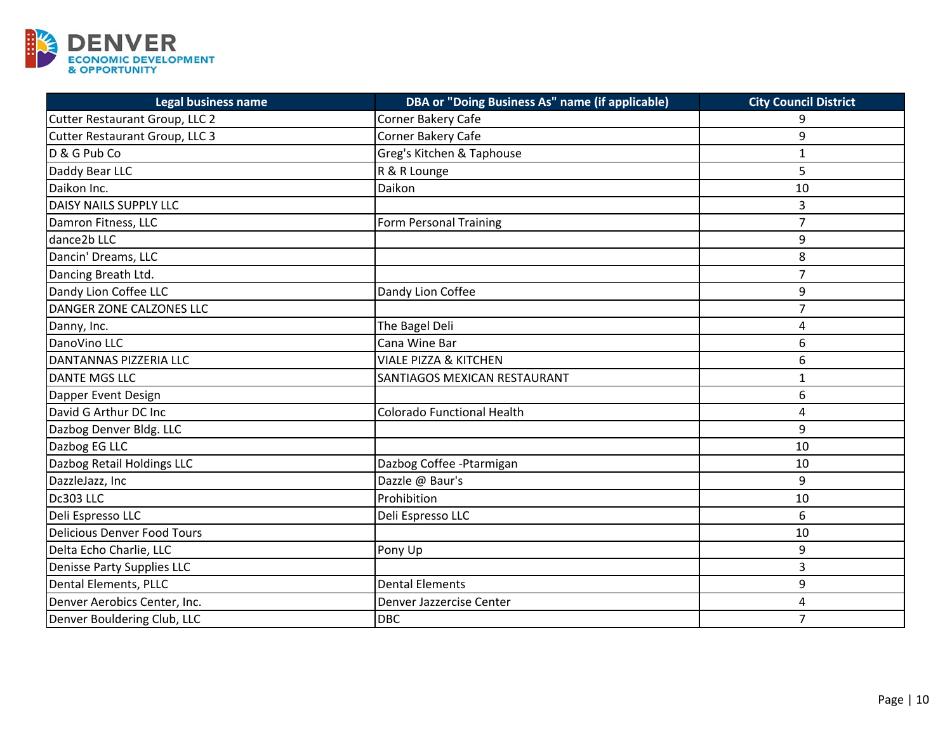

| Legal business name                | DBA or "Doing Business As" name (if applicable) | <b>City Council District</b> |
|------------------------------------|-------------------------------------------------|------------------------------|
| Cutter Restaurant Group, LLC 2     | Corner Bakery Cafe                              | q                            |
| Cutter Restaurant Group, LLC 3     | Corner Bakery Cafe                              | 9                            |
| D & G Pub Co                       | Greg's Kitchen & Taphouse                       | $\mathbf{1}$                 |
| Daddy Bear LLC                     | R & R Lounge                                    | 5                            |
| Daikon Inc.                        | Daikon                                          | 10                           |
| DAISY NAILS SUPPLY LLC             |                                                 | 3                            |
| Damron Fitness, LLC                | <b>Form Personal Training</b>                   | $\overline{7}$               |
| dance2b LLC                        |                                                 | 9                            |
| Dancin' Dreams, LLC                |                                                 | 8                            |
| Dancing Breath Ltd.                |                                                 | $\overline{7}$               |
| Dandy Lion Coffee LLC              | Dandy Lion Coffee                               | 9                            |
| DANGER ZONE CALZONES LLC           |                                                 | $\overline{7}$               |
| Danny, Inc.                        | The Bagel Deli                                  | $\overline{a}$               |
| DanoVino LLC                       | Cana Wine Bar                                   | 6                            |
| DANTANNAS PIZZERIA LLC             | <b>VIALE PIZZA &amp; KITCHEN</b>                | 6                            |
| <b>DANTE MGS LLC</b>               | SANTIAGOS MEXICAN RESTAURANT                    | $\mathbf{1}$                 |
| Dapper Event Design                |                                                 | 6                            |
| David G Arthur DC Inc              | <b>Colorado Functional Health</b>               | 4                            |
| Dazbog Denver Bldg. LLC            |                                                 | 9                            |
| Dazbog EG LLC                      |                                                 | 10                           |
| Dazbog Retail Holdings LLC         | Dazbog Coffee -Ptarmigan                        | 10                           |
| DazzleJazz, Inc                    | Dazzle @ Baur's                                 | 9                            |
| Dc303 LLC                          | Prohibition                                     | 10                           |
| Deli Espresso LLC                  | Deli Espresso LLC                               | 6                            |
| <b>Delicious Denver Food Tours</b> |                                                 | 10                           |
| Delta Echo Charlie, LLC            | Pony Up                                         | 9                            |
| Denisse Party Supplies LLC         |                                                 | 3                            |
| Dental Elements, PLLC              | <b>Dental Elements</b>                          | 9                            |
| Denver Aerobics Center, Inc.       | Denver Jazzercise Center                        | 4                            |
| Denver Bouldering Club, LLC        | <b>DBC</b>                                      | $\overline{7}$               |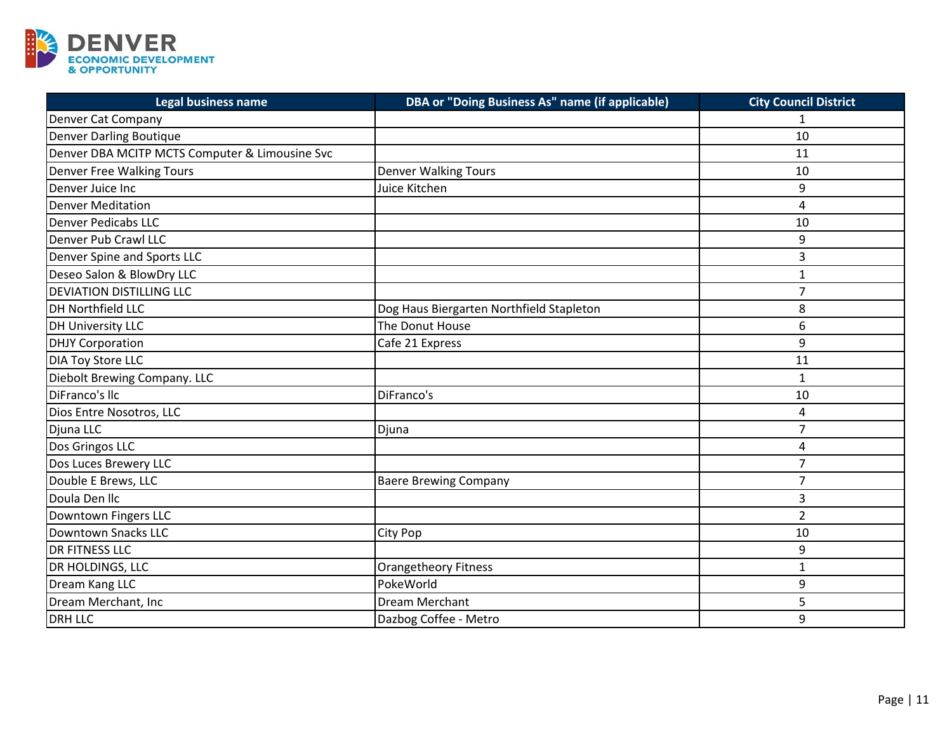

| <b>Legal business name</b>                     | DBA or "Doing Business As" name (if applicable) | <b>City Council District</b> |
|------------------------------------------------|-------------------------------------------------|------------------------------|
| Denver Cat Company                             |                                                 |                              |
| <b>Denver Darling Boutique</b>                 |                                                 | 10                           |
| Denver DBA MCITP MCTS Computer & Limousine Svc |                                                 | 11                           |
| Denver Free Walking Tours                      | <b>Denver Walking Tours</b>                     | 10                           |
| Denver Juice Inc                               | Juice Kitchen                                   | 9                            |
| <b>Denver Meditation</b>                       |                                                 | $\overline{4}$               |
| <b>Denver Pedicabs LLC</b>                     |                                                 | 10                           |
| Denver Pub Crawl LLC                           |                                                 | 9                            |
| Denver Spine and Sports LLC                    |                                                 | 3                            |
| Deseo Salon & BlowDry LLC                      |                                                 | 1                            |
| <b>DEVIATION DISTILLING LLC</b>                |                                                 | $\overline{7}$               |
| DH Northfield LLC                              | Dog Haus Biergarten Northfield Stapleton        | 8                            |
| <b>DH University LLC</b>                       | The Donut House                                 | 6                            |
| <b>DHJY Corporation</b>                        | Cafe 21 Express                                 | 9                            |
| <b>DIA Toy Store LLC</b>                       |                                                 | 11                           |
| Diebolt Brewing Company. LLC                   |                                                 | $\mathbf{1}$                 |
| DiFranco's Ilc                                 | DiFranco's                                      | 10                           |
| Dios Entre Nosotros, LLC                       |                                                 | 4                            |
| Djuna LLC                                      | Djuna                                           | $\overline{7}$               |
| Dos Gringos LLC                                |                                                 | 4                            |
| Dos Luces Brewery LLC                          |                                                 | $\overline{7}$               |
| Double E Brews, LLC                            | <b>Baere Brewing Company</b>                    | $\overline{7}$               |
| Doula Den Ilc                                  |                                                 | 3                            |
| Downtown Fingers LLC                           |                                                 | $\overline{2}$               |
| Downtown Snacks LLC                            | City Pop                                        | 10                           |
| <b>DR FITNESS LLC</b>                          |                                                 | 9                            |
| DR HOLDINGS, LLC                               | <b>Orangetheory Fitness</b>                     | $\mathbf{1}$                 |
| Dream Kang LLC                                 | PokeWorld                                       | 9                            |
| Dream Merchant, Inc                            | Dream Merchant                                  | 5                            |
| <b>DRH LLC</b>                                 | Dazbog Coffee - Metro                           | 9                            |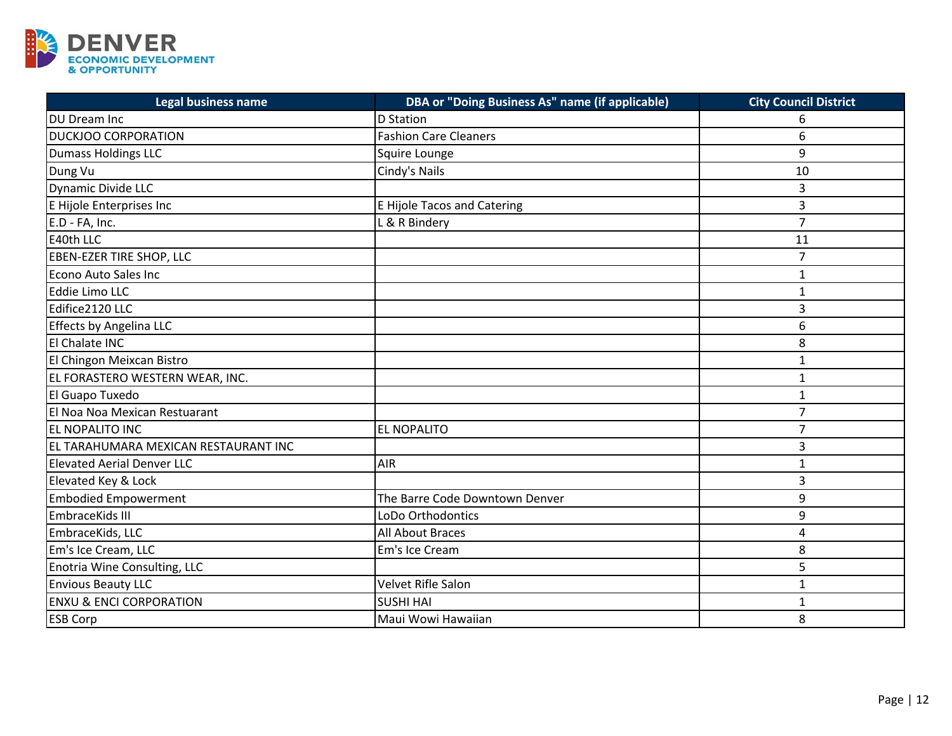

| <b>Legal business name</b>           | DBA or "Doing Business As" name (if applicable) | <b>City Council District</b> |
|--------------------------------------|-------------------------------------------------|------------------------------|
| <b>DU Dream Inc</b>                  | <b>D</b> Station                                | 6                            |
| <b>DUCKJOO CORPORATION</b>           | <b>Fashion Care Cleaners</b>                    | 6                            |
| <b>Dumass Holdings LLC</b>           | Squire Lounge                                   | 9                            |
| Dung Vu                              | Cindy's Nails                                   | 10                           |
| Dynamic Divide LLC                   |                                                 | 3                            |
| E Hijole Enterprises Inc             | <b>E Hijole Tacos and Catering</b>              | 3                            |
| E.D - FA, Inc.                       | L & R Bindery                                   | $\overline{7}$               |
| E40th LLC                            |                                                 | 11                           |
| <b>EBEN-EZER TIRE SHOP, LLC</b>      |                                                 | $\overline{7}$               |
| Econo Auto Sales Inc                 |                                                 | 1                            |
| Eddie Limo LLC                       |                                                 | $\mathbf{1}$                 |
| Edifice2120 LLC                      |                                                 | 3                            |
| Effects by Angelina LLC              |                                                 | 6                            |
| El Chalate INC                       |                                                 | 8                            |
| El Chingon Meixcan Bistro            |                                                 | $\mathbf{1}$                 |
| EL FORASTERO WESTERN WEAR, INC.      |                                                 | 1                            |
| El Guapo Tuxedo                      |                                                 | $\mathbf{1}$                 |
| El Noa Noa Mexican Restuarant        |                                                 | $\overline{7}$               |
| EL NOPALITO INC                      | EL NOPALITO                                     | $\overline{7}$               |
| EL TARAHUMARA MEXICAN RESTAURANT INC |                                                 | 3                            |
| <b>Elevated Aerial Denver LLC</b>    | <b>AIR</b>                                      | $\mathbf{1}$                 |
| Elevated Key & Lock                  |                                                 | 3                            |
| <b>Embodied Empowerment</b>          | The Barre Code Downtown Denver                  | 9                            |
| EmbraceKids III                      | LoDo Orthodontics                               | 9                            |
| EmbraceKids, LLC                     | All About Braces                                | 4                            |
| Em's Ice Cream, LLC                  | Em's Ice Cream                                  | 8                            |
| Enotria Wine Consulting, LLC         |                                                 | 5                            |
| <b>Envious Beauty LLC</b>            | Velvet Rifle Salon                              | $\mathbf{1}$                 |
| <b>ENXU &amp; ENCI CORPORATION</b>   | <b>SUSHI HAI</b>                                | $\mathbf{1}$                 |
| <b>ESB Corp</b>                      | Maui Wowi Hawaiian                              | 8                            |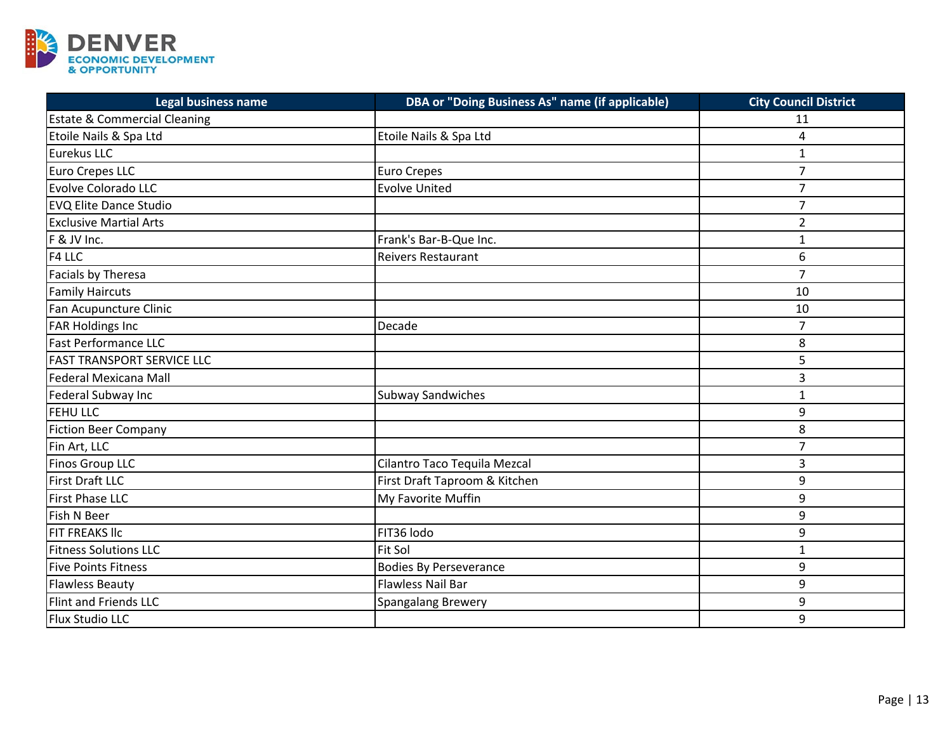

| Legal business name                     | DBA or "Doing Business As" name (if applicable) | <b>City Council District</b> |
|-----------------------------------------|-------------------------------------------------|------------------------------|
| <b>Estate &amp; Commercial Cleaning</b> |                                                 | 11                           |
| Etoile Nails & Spa Ltd                  | Etoile Nails & Spa Ltd                          | 4                            |
| Eurekus LLC                             |                                                 | $\mathbf{1}$                 |
| Euro Crepes LLC                         | <b>Euro Crepes</b>                              | $\overline{7}$               |
| <b>Evolve Colorado LLC</b>              | <b>Evolve United</b>                            | $\overline{7}$               |
| <b>EVQ Elite Dance Studio</b>           |                                                 | $\overline{7}$               |
| <b>Exclusive Martial Arts</b>           |                                                 | $\overline{2}$               |
| F & JV Inc.                             | Frank's Bar-B-Que Inc.                          | $\mathbf 1$                  |
| F4 LLC                                  | <b>Reivers Restaurant</b>                       | 6                            |
| Facials by Theresa                      |                                                 | $\overline{7}$               |
| <b>Family Haircuts</b>                  |                                                 | 10                           |
| Fan Acupuncture Clinic                  |                                                 | 10                           |
| <b>FAR Holdings Inc</b>                 | Decade                                          | $\overline{7}$               |
| <b>Fast Performance LLC</b>             |                                                 | 8                            |
| <b>FAST TRANSPORT SERVICE LLC</b>       |                                                 | 5                            |
| Federal Mexicana Mall                   |                                                 | 3                            |
| Federal Subway Inc                      | <b>Subway Sandwiches</b>                        | $\mathbf{1}$                 |
| <b>FEHULLC</b>                          |                                                 | 9                            |
| <b>Fiction Beer Company</b>             |                                                 | 8                            |
| Fin Art, LLC                            |                                                 | $\overline{7}$               |
| Finos Group LLC                         | Cilantro Taco Tequila Mezcal                    | 3                            |
| <b>First Draft LLC</b>                  | First Draft Taproom & Kitchen                   | 9                            |
| <b>First Phase LLC</b>                  | My Favorite Muffin                              | 9                            |
| Fish N Beer                             |                                                 | 9                            |
| <b>FIT FREAKS IIC</b>                   | FIT36 lodo                                      | 9                            |
| <b>Fitness Solutions LLC</b>            | <b>Fit Sol</b>                                  | $\mathbf{1}$                 |
| <b>Five Points Fitness</b>              | <b>Bodies By Perseverance</b>                   | 9                            |
| <b>Flawless Beauty</b>                  | Flawless Nail Bar                               | 9                            |
| Flint and Friends LLC                   | Spangalang Brewery                              | 9                            |
| Flux Studio LLC                         |                                                 | 9                            |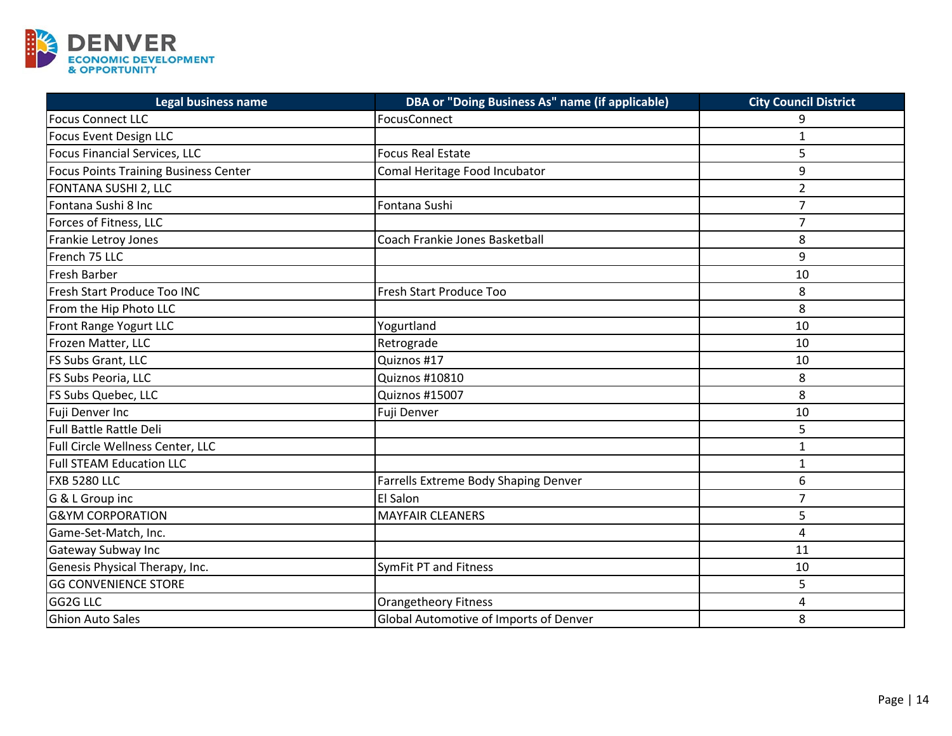

| <b>Legal business name</b>                   | DBA or "Doing Business As" name (if applicable) | <b>City Council District</b> |
|----------------------------------------------|-------------------------------------------------|------------------------------|
| <b>Focus Connect LLC</b>                     | FocusConnect                                    | 9                            |
| Focus Event Design LLC                       |                                                 | $\mathbf{1}$                 |
| <b>Focus Financial Services, LLC</b>         | <b>Focus Real Estate</b>                        | 5                            |
| <b>Focus Points Training Business Center</b> | Comal Heritage Food Incubator                   | 9                            |
| FONTANA SUSHI 2, LLC                         |                                                 | $\overline{2}$               |
| Fontana Sushi 8 Inc                          | Fontana Sushi                                   | $\overline{7}$               |
| Forces of Fitness, LLC                       |                                                 | $\overline{7}$               |
| Frankie Letroy Jones                         | Coach Frankie Jones Basketball                  | 8                            |
| French 75 LLC                                |                                                 | 9                            |
| <b>Fresh Barber</b>                          |                                                 | 10                           |
| Fresh Start Produce Too INC                  | Fresh Start Produce Too                         | 8                            |
| From the Hip Photo LLC                       |                                                 | 8                            |
| Front Range Yogurt LLC                       | Yogurtland                                      | 10                           |
| Frozen Matter, LLC                           | Retrograde                                      | 10                           |
| FS Subs Grant, LLC                           | Quiznos #17                                     | 10                           |
| FS Subs Peoria, LLC                          | Quiznos #10810                                  | 8                            |
| FS Subs Quebec, LLC                          | Quiznos #15007                                  | 8                            |
| Fuji Denver Inc                              | Fuji Denver                                     | 10                           |
| <b>Full Battle Rattle Deli</b>               |                                                 | 5                            |
| Full Circle Wellness Center, LLC             |                                                 | $\mathbf{1}$                 |
| <b>Full STEAM Education LLC</b>              |                                                 | $\mathbf{1}$                 |
| FXB 5280 LLC                                 | Farrells Extreme Body Shaping Denver            | 6                            |
| G & L Group inc                              | <b>El Salon</b>                                 | $\overline{7}$               |
| <b>G&amp;YM CORPORATION</b>                  | <b>MAYFAIR CLEANERS</b>                         | 5                            |
| Game-Set-Match, Inc.                         |                                                 | $\overline{4}$               |
| <b>Gateway Subway Inc</b>                    |                                                 | 11                           |
| Genesis Physical Therapy, Inc.               | <b>SymFit PT and Fitness</b>                    | 10                           |
| <b>GG CONVENIENCE STORE</b>                  |                                                 | 5                            |
| GG2G LLC                                     | <b>Orangetheory Fitness</b>                     | $\overline{4}$               |
| <b>Ghion Auto Sales</b>                      | Global Automotive of Imports of Denver          | 8                            |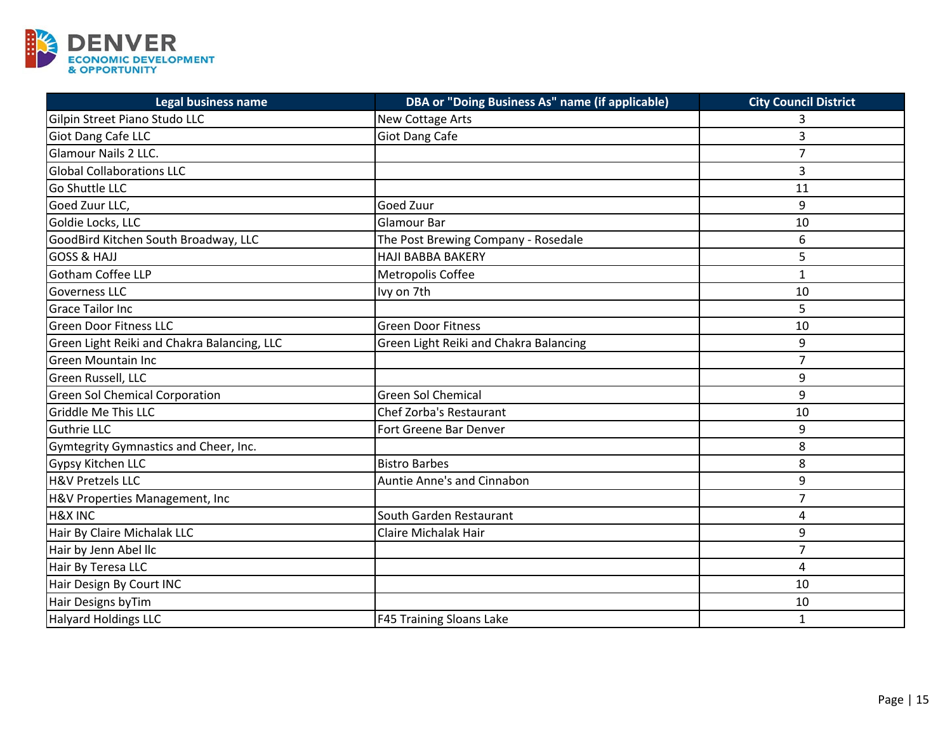

| Legal business name                         | DBA or "Doing Business As" name (if applicable) | <b>City Council District</b> |
|---------------------------------------------|-------------------------------------------------|------------------------------|
| Gilpin Street Piano Studo LLC               | New Cottage Arts                                | 3                            |
| Giot Dang Cafe LLC                          | <b>Giot Dang Cafe</b>                           | 3                            |
| <b>Glamour Nails 2 LLC.</b>                 |                                                 | $\overline{7}$               |
| <b>Global Collaborations LLC</b>            |                                                 | 3                            |
| Go Shuttle LLC                              |                                                 | 11                           |
| Goed Zuur LLC,                              | Goed Zuur                                       | 9                            |
| Goldie Locks, LLC                           | Glamour Bar                                     | 10                           |
| GoodBird Kitchen South Broadway, LLC        | The Post Brewing Company - Rosedale             | 6                            |
| <b>GOSS &amp; HAJJ</b>                      | <b>HAJI BABBA BAKERY</b>                        | 5                            |
| <b>Gotham Coffee LLP</b>                    | Metropolis Coffee                               | $\mathbf{1}$                 |
| <b>Governess LLC</b>                        | Ivy on 7th                                      | 10                           |
| <b>Grace Tailor Inc</b>                     |                                                 | 5                            |
| <b>Green Door Fitness LLC</b>               | <b>Green Door Fitness</b>                       | 10                           |
| Green Light Reiki and Chakra Balancing, LLC | Green Light Reiki and Chakra Balancing          | 9                            |
| <b>Green Mountain Inc</b>                   |                                                 | $\overline{7}$               |
| Green Russell, LLC                          |                                                 | 9                            |
| <b>Green Sol Chemical Corporation</b>       | <b>Green Sol Chemical</b>                       | 9                            |
| <b>Griddle Me This LLC</b>                  | <b>Chef Zorba's Restaurant</b>                  | 10                           |
| <b>Guthrie LLC</b>                          | Fort Greene Bar Denver                          | 9                            |
| Gymtegrity Gymnastics and Cheer, Inc.       |                                                 | 8                            |
| <b>Gypsy Kitchen LLC</b>                    | <b>Bistro Barbes</b>                            | 8                            |
| <b>H&amp;V Pretzels LLC</b>                 | Auntie Anne's and Cinnabon                      | 9                            |
| H&V Properties Management, Inc              |                                                 | $\overline{7}$               |
| <b>H&amp;X INC</b>                          | South Garden Restaurant                         | 4                            |
| Hair By Claire Michalak LLC                 | Claire Michalak Hair                            | 9                            |
| Hair by Jenn Abel IIc                       |                                                 | $\overline{7}$               |
| Hair By Teresa LLC                          |                                                 | 4                            |
| Hair Design By Court INC                    |                                                 | 10                           |
| Hair Designs byTim                          |                                                 | 10                           |
| Halyard Holdings LLC                        | F45 Training Sloans Lake                        | $\mathbf{1}$                 |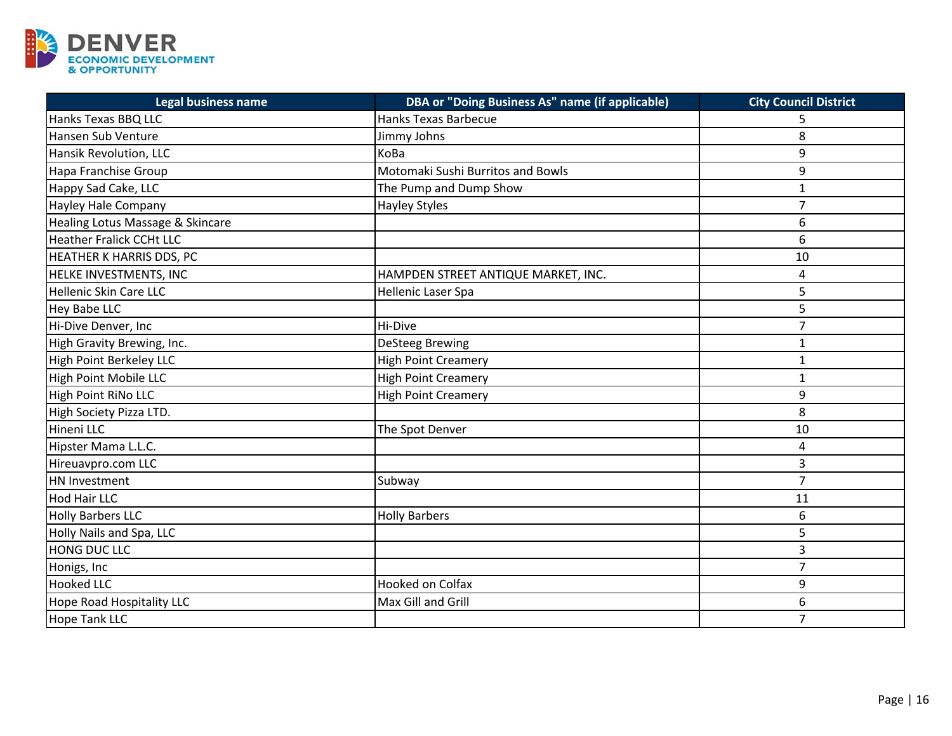

| <b>Legal business name</b>       | <b>DBA or "Doing Business As" name (if applicable)</b> | <b>City Council District</b> |
|----------------------------------|--------------------------------------------------------|------------------------------|
| Hanks Texas BBQ LLC              | Hanks Texas Barbecue                                   | 5                            |
| Hansen Sub Venture               | Jimmy Johns                                            | 8                            |
| Hansik Revolution, LLC           | KoBa                                                   | 9                            |
| Hapa Franchise Group             | Motomaki Sushi Burritos and Bowls                      | 9                            |
| Happy Sad Cake, LLC              | The Pump and Dump Show                                 | 1                            |
| <b>Hayley Hale Company</b>       | <b>Hayley Styles</b>                                   | $\overline{7}$               |
| Healing Lotus Massage & Skincare |                                                        | 6                            |
| <b>Heather Fralick CCHt LLC</b>  |                                                        | 6                            |
| HEATHER K HARRIS DDS, PC         |                                                        | 10                           |
| HELKE INVESTMENTS, INC           | HAMPDEN STREET ANTIQUE MARKET, INC.                    | 4                            |
| Hellenic Skin Care LLC           | Hellenic Laser Spa                                     | 5                            |
| <b>Hey Babe LLC</b>              |                                                        | 5                            |
| Hi-Dive Denver, Inc              | Hi-Dive                                                | $\overline{7}$               |
| High Gravity Brewing, Inc.       | <b>DeSteeg Brewing</b>                                 | $\mathbf{1}$                 |
| High Point Berkeley LLC          | <b>High Point Creamery</b>                             | $\mathbf{1}$                 |
| High Point Mobile LLC            | <b>High Point Creamery</b>                             | 1                            |
| High Point RiNo LLC              | <b>High Point Creamery</b>                             | 9                            |
| High Society Pizza LTD.          |                                                        | 8                            |
| Hineni LLC                       | The Spot Denver                                        | 10                           |
| Hipster Mama L.L.C.              |                                                        | 4                            |
| Hireuavpro.com LLC               |                                                        | 3                            |
| HN Investment                    | Subway                                                 | $\overline{7}$               |
| <b>Hod Hair LLC</b>              |                                                        | 11                           |
| <b>Holly Barbers LLC</b>         | <b>Holly Barbers</b>                                   | 6                            |
| Holly Nails and Spa, LLC         |                                                        | 5                            |
| HONG DUC LLC                     |                                                        | 3                            |
| Honigs, Inc                      |                                                        | $\overline{7}$               |
| <b>Hooked LLC</b>                | <b>Hooked on Colfax</b>                                | 9                            |
| Hope Road Hospitality LLC        | Max Gill and Grill                                     | 6                            |
| <b>Hope Tank LLC</b>             |                                                        | $\overline{7}$               |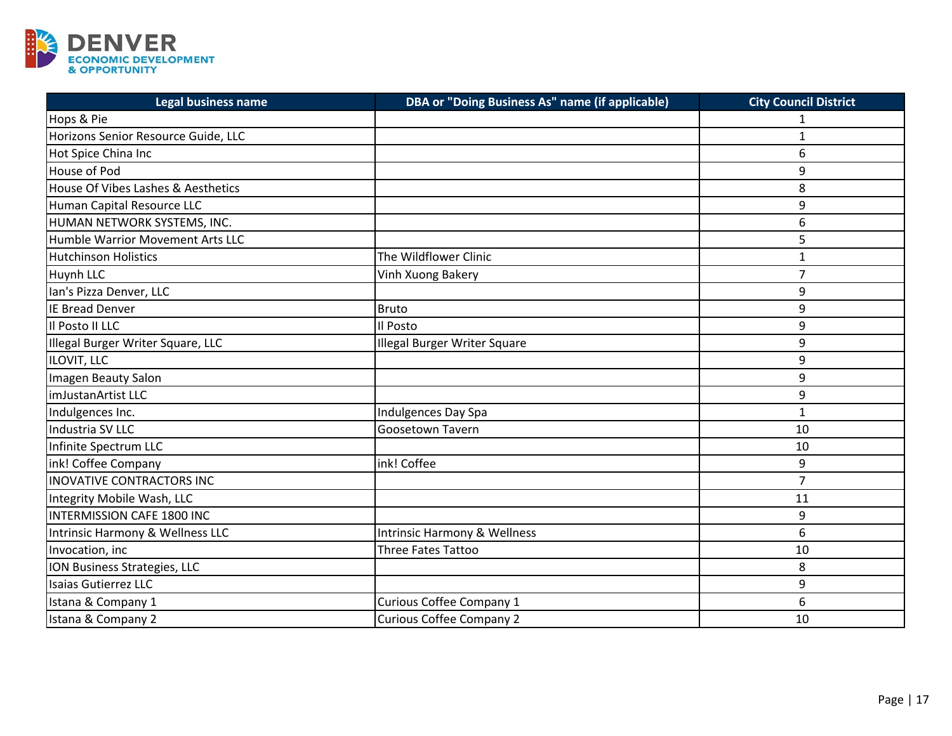

| <b>Legal business name</b>          | DBA or "Doing Business As" name (if applicable) | <b>City Council District</b> |
|-------------------------------------|-------------------------------------------------|------------------------------|
| Hops & Pie                          |                                                 |                              |
| Horizons Senior Resource Guide, LLC |                                                 | $\mathbf{1}$                 |
| Hot Spice China Inc                 |                                                 | 6                            |
| <b>House of Pod</b>                 |                                                 | 9                            |
| House Of Vibes Lashes & Aesthetics  |                                                 | 8                            |
| Human Capital Resource LLC          |                                                 | 9                            |
| HUMAN NETWORK SYSTEMS, INC.         |                                                 | 6                            |
| Humble Warrior Movement Arts LLC    |                                                 | 5                            |
| <b>Hutchinson Holistics</b>         | The Wildflower Clinic                           | $\mathbf{1}$                 |
| <b>Huynh LLC</b>                    | Vinh Xuong Bakery                               | $\overline{7}$               |
| Ian's Pizza Denver, LLC             |                                                 | 9                            |
| <b>IE Bread Denver</b>              | <b>Bruto</b>                                    | 9                            |
| Il Posto II LLC                     | Il Posto                                        | 9                            |
| Illegal Burger Writer Square, LLC   | Illegal Burger Writer Square                    | 9                            |
| ILOVIT, LLC                         |                                                 | 9                            |
| Imagen Beauty Salon                 |                                                 | 9                            |
| imJustanArtist LLC                  |                                                 | 9                            |
| Indulgences Inc.                    | Indulgences Day Spa                             | $\mathbf{1}$                 |
| Industria SV LLC                    | Goosetown Tavern                                | 10                           |
| Infinite Spectrum LLC               |                                                 | 10                           |
| ink! Coffee Company                 | ink! Coffee                                     | 9                            |
| INOVATIVE CONTRACTORS INC           |                                                 | $\overline{7}$               |
| Integrity Mobile Wash, LLC          |                                                 | 11                           |
| <b>INTERMISSION CAFE 1800 INC</b>   |                                                 | 9                            |
| Intrinsic Harmony & Wellness LLC    | Intrinsic Harmony & Wellness                    | 6                            |
| Invocation, inc                     | <b>Three Fates Tattoo</b>                       | 10                           |
| ION Business Strategies, LLC        |                                                 | 8                            |
| Isaias Gutierrez LLC                |                                                 | 9                            |
| Istana & Company 1                  | Curious Coffee Company 1                        | 6                            |
| Istana & Company 2                  | <b>Curious Coffee Company 2</b>                 | 10                           |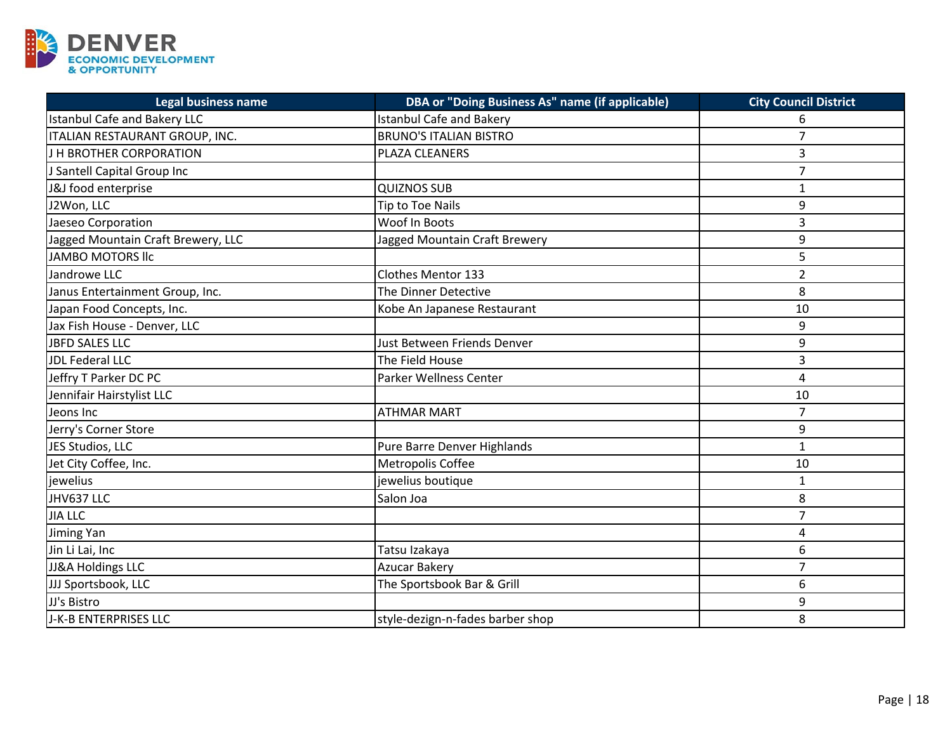

| <b>Legal business name</b>          | DBA or "Doing Business As" name (if applicable) | <b>City Council District</b> |
|-------------------------------------|-------------------------------------------------|------------------------------|
| <b>Istanbul Cafe and Bakery LLC</b> | <b>Istanbul Cafe and Bakery</b>                 | 6                            |
| ITALIAN RESTAURANT GROUP, INC.      | <b>BRUNO'S ITALIAN BISTRO</b>                   | $\overline{7}$               |
| <b>J H BROTHER CORPORATION</b>      | PLAZA CLEANERS                                  | 3                            |
| J Santell Capital Group Inc         |                                                 | $\overline{7}$               |
| J&J food enterprise                 | <b>QUIZNOS SUB</b>                              | 1                            |
| J2Won, LLC                          | Tip to Toe Nails                                | 9                            |
| Jaeseo Corporation                  | Woof In Boots                                   | 3                            |
| Jagged Mountain Craft Brewery, LLC  | Jagged Mountain Craft Brewery                   | 9                            |
| <b>JAMBO MOTORS IIc</b>             |                                                 | 5                            |
| Jandrowe LLC                        | Clothes Mentor 133                              | $\overline{2}$               |
| Janus Entertainment Group, Inc.     | The Dinner Detective                            | 8                            |
| Japan Food Concepts, Inc.           | Kobe An Japanese Restaurant                     | 10                           |
| Jax Fish House - Denver, LLC        |                                                 | 9                            |
| <b>JBFD SALES LLC</b>               | Just Between Friends Denver                     | 9                            |
| <b>JDL Federal LLC</b>              | The Field House                                 | 3                            |
| Jeffry T Parker DC PC               | Parker Wellness Center                          | $\overline{a}$               |
| Jennifair Hairstylist LLC           |                                                 | 10                           |
| Jeons Inc                           | <b>ATHMAR MART</b>                              | $\overline{7}$               |
| Jerry's Corner Store                |                                                 | 9                            |
| JES Studios, LLC                    | Pure Barre Denver Highlands                     | $\mathbf{1}$                 |
| Jet City Coffee, Inc.               | Metropolis Coffee                               | 10                           |
| <i>iewelius</i>                     | jewelius boutique                               | $\mathbf{1}$                 |
| JHV637 LLC                          | Salon Joa                                       | 8                            |
| <b>JIA LLC</b>                      |                                                 | $\overline{7}$               |
| <b>Jiming Yan</b>                   |                                                 | 4                            |
| Jin Li Lai, Inc                     | Tatsu Izakaya                                   | 6                            |
| <b>JJ&amp;A Holdings LLC</b>        | Azucar Bakery                                   | $\overline{7}$               |
| JJJ Sportsbook, LLC                 | The Sportsbook Bar & Grill                      | 6                            |
| JJ's Bistro                         |                                                 | 9                            |
| J-K-B ENTERPRISES LLC               | style-dezign-n-fades barber shop                | 8                            |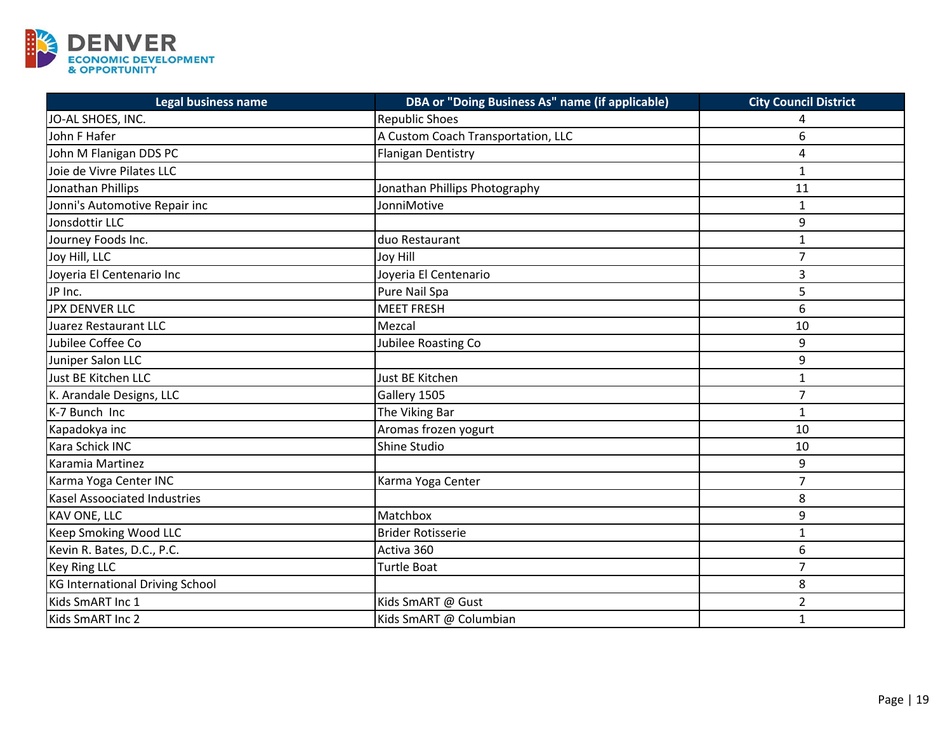

| <b>Legal business name</b>          | <b>DBA or "Doing Business As" name (if applicable)</b> | <b>City Council District</b> |
|-------------------------------------|--------------------------------------------------------|------------------------------|
| JO-AL SHOES, INC.                   | <b>Republic Shoes</b>                                  |                              |
| John F Hafer                        | A Custom Coach Transportation, LLC                     | 6                            |
| John M Flanigan DDS PC              | <b>Flanigan Dentistry</b>                              | 4                            |
| Joie de Vivre Pilates LLC           |                                                        | $\mathbf{1}$                 |
| Jonathan Phillips                   | Jonathan Phillips Photography                          | 11                           |
| Jonni's Automotive Repair inc       | JonniMotive                                            | 1                            |
| Jonsdottir LLC                      |                                                        | 9                            |
| Journey Foods Inc.                  | duo Restaurant                                         | $\mathbf{1}$                 |
| Joy Hill, LLC                       | <b>Joy Hill</b>                                        | $\overline{7}$               |
| Joyeria El Centenario Inc           | Joyeria El Centenario                                  | 3                            |
| JP Inc.                             | Pure Nail Spa                                          | 5                            |
| <b>JPX DENVER LLC</b>               | <b>MEET FRESH</b>                                      | 6                            |
| Juarez Restaurant LLC               | Mezcal                                                 | 10                           |
| Jubilee Coffee Co                   | Jubilee Roasting Co                                    | 9                            |
| Juniper Salon LLC                   |                                                        | 9                            |
| Just BE Kitchen LLC                 | Just BE Kitchen                                        | $\mathbf{1}$                 |
| K. Arandale Designs, LLC            | Gallery 1505                                           | $\overline{7}$               |
| K-7 Bunch Inc                       | The Viking Bar                                         | $\mathbf{1}$                 |
| Kapadokya inc                       | Aromas frozen yogurt                                   | 10                           |
| Kara Schick INC                     | Shine Studio                                           | 10                           |
| Karamia Martinez                    |                                                        | 9                            |
| Karma Yoga Center INC               | Karma Yoga Center                                      | $\overline{7}$               |
| <b>Kasel Assoociated Industries</b> |                                                        | 8                            |
| <b>KAV ONE, LLC</b>                 | Matchbox                                               | 9                            |
| Keep Smoking Wood LLC               | <b>Brider Rotisserie</b>                               | $\mathbf{1}$                 |
| Kevin R. Bates, D.C., P.C.          | Activa 360                                             | 6                            |
| <b>Key Ring LLC</b>                 | <b>Turtle Boat</b>                                     | $\overline{7}$               |
| KG International Driving School     |                                                        | 8                            |
| Kids SmART Inc 1                    | Kids SmART @ Gust                                      | $\overline{2}$               |
| Kids SmART Inc 2                    | Kids SmART @ Columbian                                 | $\mathbf{1}$                 |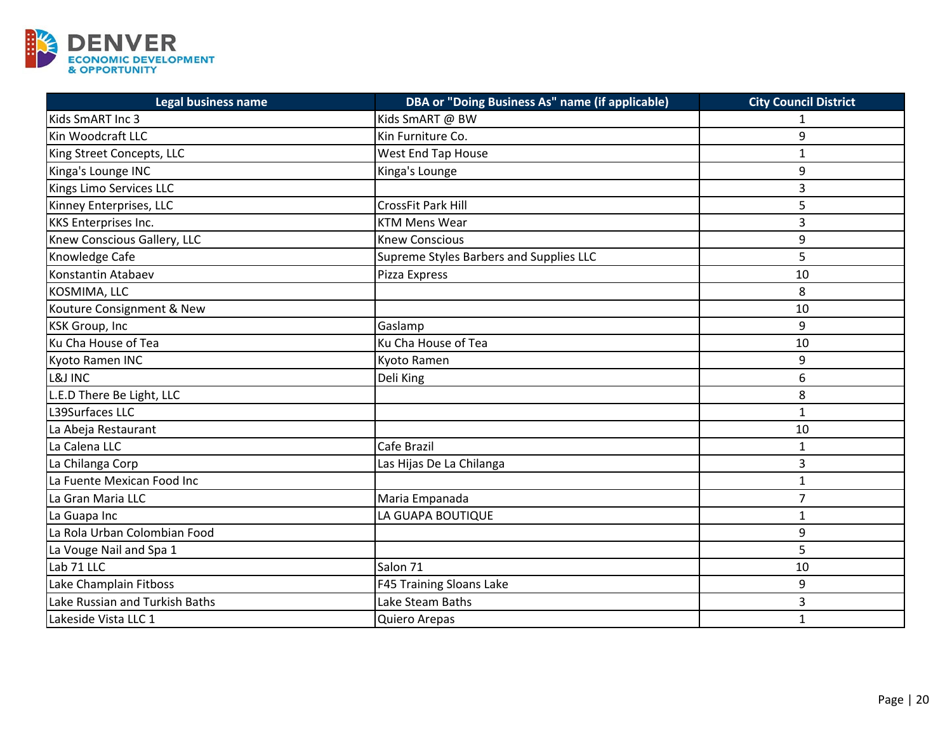

| <b>Legal business name</b>     | DBA or "Doing Business As" name (if applicable) | <b>City Council District</b> |
|--------------------------------|-------------------------------------------------|------------------------------|
| Kids SmART Inc 3               | Kids SmART @ BW                                 | 1                            |
| Kin Woodcraft LLC              | Kin Furniture Co.                               | 9                            |
| King Street Concepts, LLC      | West End Tap House                              | $\mathbf{1}$                 |
| Kinga's Lounge INC             | Kinga's Lounge                                  | 9                            |
| Kings Limo Services LLC        |                                                 | 3                            |
| Kinney Enterprises, LLC        | CrossFit Park Hill                              | 5                            |
| <b>KKS Enterprises Inc.</b>    | <b>KTM Mens Wear</b>                            | 3                            |
| Knew Conscious Gallery, LLC    | <b>Knew Conscious</b>                           | 9                            |
| Knowledge Cafe                 | Supreme Styles Barbers and Supplies LLC         | 5                            |
| Konstantin Atabaev             | Pizza Express                                   | 10                           |
| KOSMIMA, LLC                   |                                                 | 8                            |
| Kouture Consignment & New      |                                                 | 10                           |
| <b>KSK Group, Inc</b>          | Gaslamp                                         | 9                            |
| Ku Cha House of Tea            | Ku Cha House of Tea                             | 10                           |
| Kyoto Ramen INC                | Kyoto Ramen                                     | 9                            |
| L&J INC                        | Deli King                                       | 6                            |
| L.E.D There Be Light, LLC      |                                                 | 8                            |
| L39Surfaces LLC                |                                                 | $\mathbf{1}$                 |
| La Abeja Restaurant            |                                                 | 10                           |
| La Calena LLC                  | Cafe Brazil                                     | $\mathbf{1}$                 |
| La Chilanga Corp               | Las Hijas De La Chilanga                        | 3                            |
| La Fuente Mexican Food Inc     |                                                 | $\mathbf{1}$                 |
| La Gran Maria LLC              | Maria Empanada                                  | $\overline{7}$               |
| La Guapa Inc                   | LA GUAPA BOUTIQUE                               | $\mathbf{1}$                 |
| La Rola Urban Colombian Food   |                                                 | 9                            |
| La Vouge Nail and Spa 1        |                                                 | 5                            |
| Lab 71 LLC                     | Salon 71                                        | 10                           |
| Lake Champlain Fitboss         | F45 Training Sloans Lake                        | 9                            |
| Lake Russian and Turkish Baths | Lake Steam Baths                                | 3                            |
| Lakeside Vista LLC 1           | Quiero Arepas                                   | $\mathbf{1}$                 |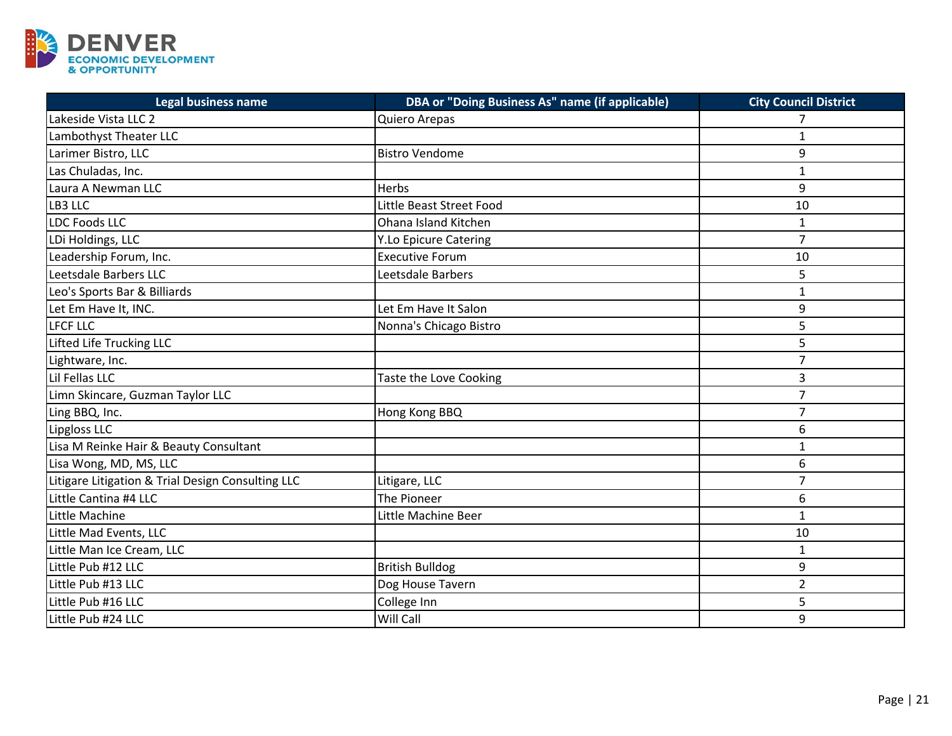

| <b>Legal business name</b>                        | DBA or "Doing Business As" name (if applicable) | <b>City Council District</b> |
|---------------------------------------------------|-------------------------------------------------|------------------------------|
| Lakeside Vista LLC 2                              | Quiero Arepas                                   | 7                            |
| Lambothyst Theater LLC                            |                                                 | 1                            |
| Larimer Bistro, LLC                               | <b>Bistro Vendome</b>                           | 9                            |
| Las Chuladas, Inc.                                |                                                 | $\mathbf{1}$                 |
| Laura A Newman LLC                                | Herbs                                           | 9                            |
| LB3 LLC                                           | Little Beast Street Food                        | 10                           |
| LDC Foods LLC                                     | <b>Ohana Island Kitchen</b>                     | 1                            |
| LDi Holdings, LLC                                 | <b>Y.Lo Epicure Catering</b>                    | $\overline{7}$               |
| Leadership Forum, Inc.                            | <b>Executive Forum</b>                          | 10                           |
| Leetsdale Barbers LLC                             | Leetsdale Barbers                               | 5                            |
| Leo's Sports Bar & Billiards                      |                                                 | $\mathbf{1}$                 |
| Let Em Have It, INC.                              | Let Em Have It Salon                            | 9                            |
| <b>LFCF LLC</b>                                   | Nonna's Chicago Bistro                          | 5                            |
| Lifted Life Trucking LLC                          |                                                 | 5                            |
| Lightware, Inc.                                   |                                                 | $\overline{7}$               |
| Lil Fellas LLC                                    | Taste the Love Cooking                          | 3                            |
| Limn Skincare, Guzman Taylor LLC                  |                                                 | $\overline{7}$               |
| Ling BBQ, Inc.                                    | Hong Kong BBQ                                   | $\overline{7}$               |
| Lipgloss LLC                                      |                                                 | 6                            |
| Lisa M Reinke Hair & Beauty Consultant            |                                                 | $\mathbf{1}$                 |
| Lisa Wong, MD, MS, LLC                            |                                                 | 6                            |
| Litigare Litigation & Trial Design Consulting LLC | Litigare, LLC                                   | $\overline{7}$               |
| Little Cantina #4 LLC                             | The Pioneer                                     | 6                            |
| Little Machine                                    | Little Machine Beer                             | $\mathbf{1}$                 |
| Little Mad Events, LLC                            |                                                 | 10                           |
| Little Man Ice Cream, LLC                         |                                                 | $\mathbf{1}$                 |
| Little Pub #12 LLC                                | <b>British Bulldog</b>                          | 9                            |
| Little Pub #13 LLC                                | Dog House Tavern                                | $\overline{2}$               |
| Little Pub #16 LLC                                | College Inn                                     | 5                            |
| Little Pub #24 LLC                                | Will Call                                       | 9                            |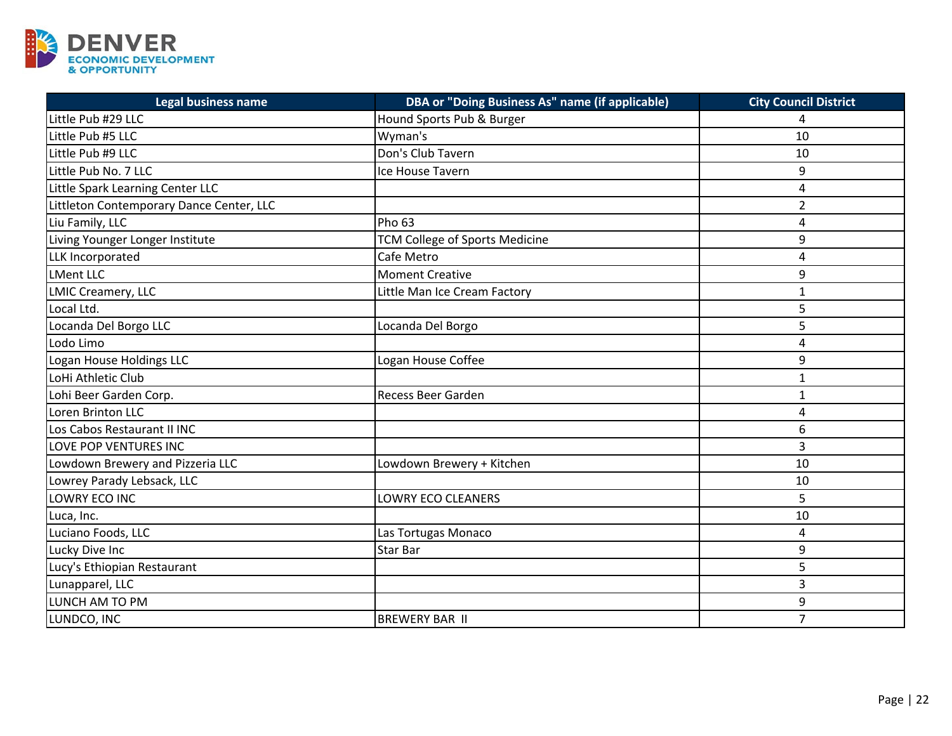

| <b>Legal business name</b>               | <b>DBA or "Doing Business As" name (if applicable)</b> | <b>City Council District</b> |
|------------------------------------------|--------------------------------------------------------|------------------------------|
| Little Pub #29 LLC                       | Hound Sports Pub & Burger                              | 4                            |
| Little Pub #5 LLC                        | Wyman's                                                | 10                           |
| Little Pub #9 LLC                        | Don's Club Tavern                                      | 10                           |
| Little Pub No. 7 LLC                     | Ice House Tavern                                       | 9                            |
| Little Spark Learning Center LLC         |                                                        | 4                            |
| Littleton Contemporary Dance Center, LLC |                                                        | $\overline{2}$               |
| Liu Family, LLC                          | Pho <sub>63</sub>                                      | 4                            |
| Living Younger Longer Institute          | <b>TCM College of Sports Medicine</b>                  | 9                            |
| LLK Incorporated                         | Cafe Metro                                             | 4                            |
| <b>LMent LLC</b>                         | <b>Moment Creative</b>                                 | 9                            |
| <b>LMIC Creamery, LLC</b>                | Little Man Ice Cream Factory                           | $\mathbf{1}$                 |
| Local Ltd.                               |                                                        | 5                            |
| Locanda Del Borgo LLC                    | Locanda Del Borgo                                      | 5                            |
| Lodo Limo                                |                                                        | 4                            |
| Logan House Holdings LLC                 | Logan House Coffee                                     | 9                            |
| LoHi Athletic Club                       |                                                        | 1                            |
| Lohi Beer Garden Corp.                   | <b>Recess Beer Garden</b>                              | $\mathbf{1}$                 |
| Loren Brinton LLC                        |                                                        | 4                            |
| Los Cabos Restaurant II INC              |                                                        | 6                            |
| LOVE POP VENTURES INC                    |                                                        | 3                            |
| Lowdown Brewery and Pizzeria LLC         | Lowdown Brewery + Kitchen                              | 10                           |
| Lowrey Parady Lebsack, LLC               |                                                        | 10                           |
| LOWRY ECO INC                            | LOWRY ECO CLEANERS                                     | 5                            |
| Luca, Inc.                               |                                                        | 10                           |
| Luciano Foods, LLC                       | Las Tortugas Monaco                                    | 4                            |
| Lucky Dive Inc                           | <b>Star Bar</b>                                        | 9                            |
| Lucy's Ethiopian Restaurant              |                                                        | 5                            |
| Lunapparel, LLC                          |                                                        | 3                            |
| LUNCH AM TO PM                           |                                                        | 9                            |
| LUNDCO, INC                              | <b>BREWERY BAR II</b>                                  | $\overline{7}$               |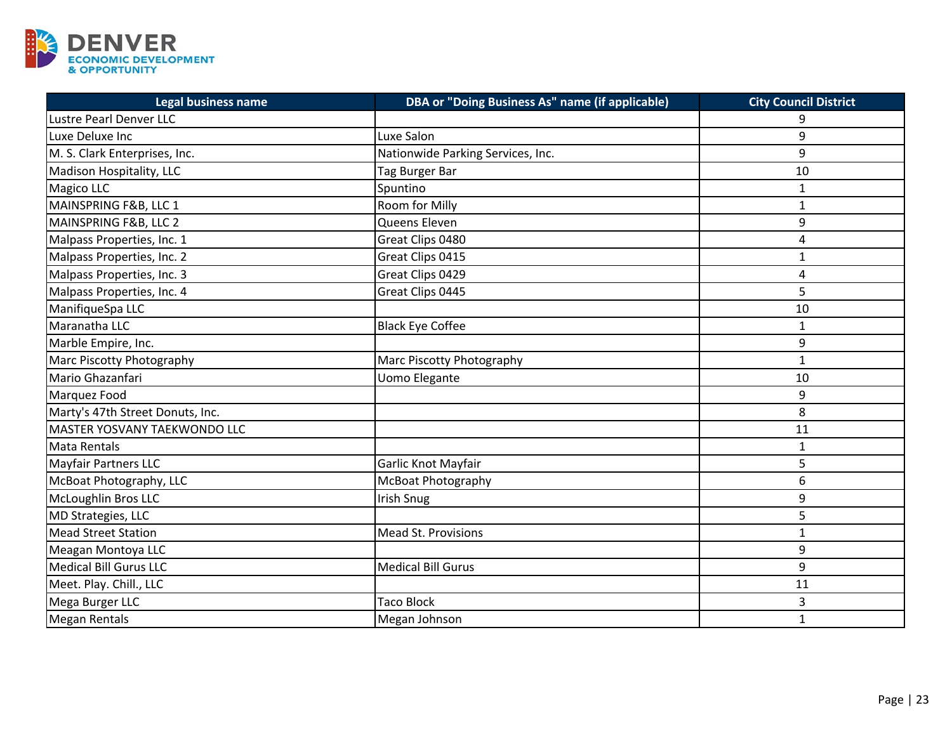

| <b>Legal business name</b>          | DBA or "Doing Business As" name (if applicable) | <b>City Council District</b> |
|-------------------------------------|-------------------------------------------------|------------------------------|
| Lustre Pearl Denver LLC             |                                                 | 9                            |
| Luxe Deluxe Inc                     | Luxe Salon                                      | 9                            |
| M. S. Clark Enterprises, Inc.       | Nationwide Parking Services, Inc.               | 9                            |
| Madison Hospitality, LLC            | Tag Burger Bar                                  | 10                           |
| Magico LLC                          | Spuntino                                        | 1                            |
| MAINSPRING F&B, LLC 1               | Room for Milly                                  | $\mathbf{1}$                 |
| MAINSPRING F&B, LLC 2               | Queens Eleven                                   | 9                            |
| Malpass Properties, Inc. 1          | Great Clips 0480                                | 4                            |
| Malpass Properties, Inc. 2          | Great Clips 0415                                | $\mathbf{1}$                 |
| Malpass Properties, Inc. 3          | Great Clips 0429                                | 4                            |
| Malpass Properties, Inc. 4          | Great Clips 0445                                | 5                            |
| ManifiqueSpa LLC                    |                                                 | 10                           |
| Maranatha LLC                       | <b>Black Eye Coffee</b>                         | $\mathbf{1}$                 |
| Marble Empire, Inc.                 |                                                 | 9                            |
| Marc Piscotty Photography           | Marc Piscotty Photography                       | $\mathbf{1}$                 |
| Mario Ghazanfari                    | <b>Uomo Elegante</b>                            | 10                           |
| Marquez Food                        |                                                 | 9                            |
| Marty's 47th Street Donuts, Inc.    |                                                 | 8                            |
| <b>MASTER YOSVANY TAEKWONDO LLC</b> |                                                 | 11                           |
| Mata Rentals                        |                                                 | $\mathbf{1}$                 |
| <b>Mayfair Partners LLC</b>         | Garlic Knot Mayfair                             | 5                            |
| McBoat Photography, LLC             | <b>McBoat Photography</b>                       | 6                            |
| McLoughlin Bros LLC                 | <b>Irish Snug</b>                               | 9                            |
| MD Strategies, LLC                  |                                                 | 5                            |
| Mead Street Station                 | <b>Mead St. Provisions</b>                      | 1                            |
| Meagan Montoya LLC                  |                                                 | 9                            |
| Medical Bill Gurus LLC              | <b>Medical Bill Gurus</b>                       | 9                            |
| Meet. Play. Chill., LLC             |                                                 | 11                           |
| Mega Burger LLC                     | <b>Taco Block</b>                               | 3                            |
| <b>Megan Rentals</b>                | Megan Johnson                                   | $\mathbf{1}$                 |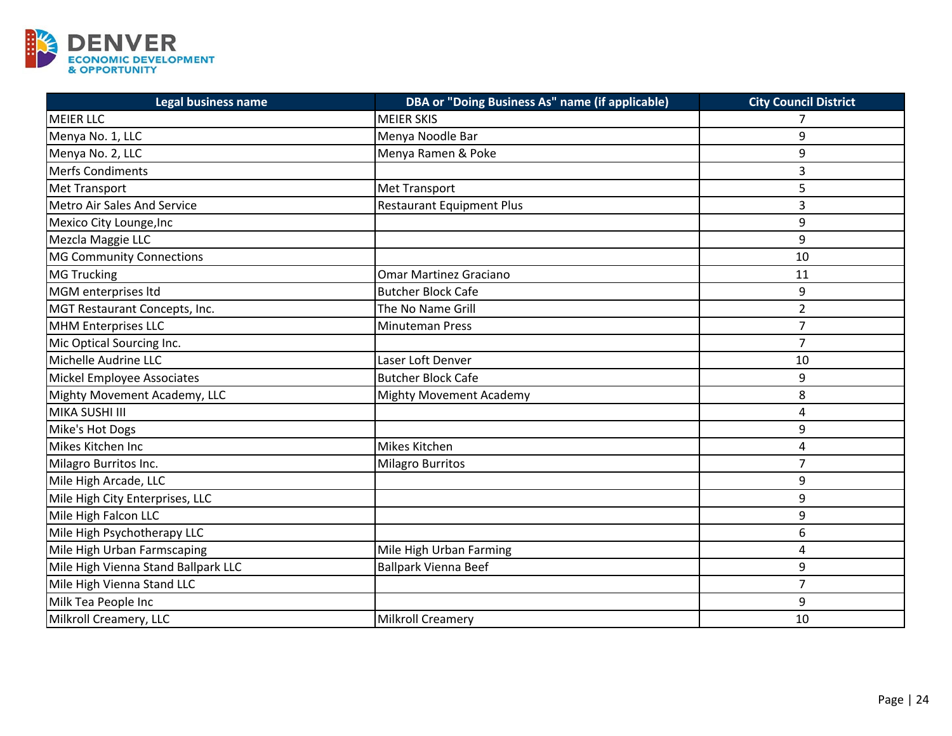

| Legal business name                 | DBA or "Doing Business As" name (if applicable) | <b>City Council District</b> |
|-------------------------------------|-------------------------------------------------|------------------------------|
| <b>MEIER LLC</b>                    | <b>MEIER SKIS</b>                               | 7                            |
| Menya No. 1, LLC                    | Menya Noodle Bar                                | 9                            |
| Menya No. 2, LLC                    | Menya Ramen & Poke                              | 9                            |
| Merfs Condiments                    |                                                 | 3                            |
| <b>Met Transport</b>                | <b>Met Transport</b>                            | 5                            |
| <b>Metro Air Sales And Service</b>  | <b>Restaurant Equipment Plus</b>                | 3                            |
| Mexico City Lounge, Inc             |                                                 | 9                            |
| Mezcla Maggie LLC                   |                                                 | 9                            |
| <b>MG Community Connections</b>     |                                                 | 10                           |
| <b>MG Trucking</b>                  | <b>Omar Martinez Graciano</b>                   | 11                           |
| MGM enterprises Itd                 | <b>Butcher Block Cafe</b>                       | 9                            |
| MGT Restaurant Concepts, Inc.       | The No Name Grill                               | $\overline{2}$               |
| MHM Enterprises LLC                 | <b>Minuteman Press</b>                          | $\overline{7}$               |
| Mic Optical Sourcing Inc.           |                                                 | $\overline{7}$               |
| Michelle Audrine LLC                | Laser Loft Denver                               | 10                           |
| Mickel Employee Associates          | <b>Butcher Block Cafe</b>                       | 9                            |
| Mighty Movement Academy, LLC        | <b>Mighty Movement Academy</b>                  | 8                            |
| MIKA SUSHI III                      |                                                 | $\overline{4}$               |
| Mike's Hot Dogs                     |                                                 | 9                            |
| Mikes Kitchen Inc                   | Mikes Kitchen                                   | 4                            |
| Milagro Burritos Inc.               | Milagro Burritos                                | $\overline{7}$               |
| Mile High Arcade, LLC               |                                                 | 9                            |
| Mile High City Enterprises, LLC     |                                                 | 9                            |
| Mile High Falcon LLC                |                                                 | 9                            |
| Mile High Psychotherapy LLC         |                                                 | 6                            |
| Mile High Urban Farmscaping         | Mile High Urban Farming                         | 4                            |
| Mile High Vienna Stand Ballpark LLC | <b>Ballpark Vienna Beef</b>                     | 9                            |
| Mile High Vienna Stand LLC          |                                                 | $\overline{7}$               |
| Milk Tea People Inc                 |                                                 | 9                            |
| Milkroll Creamery, LLC              | <b>Milkroll Creamery</b>                        | 10                           |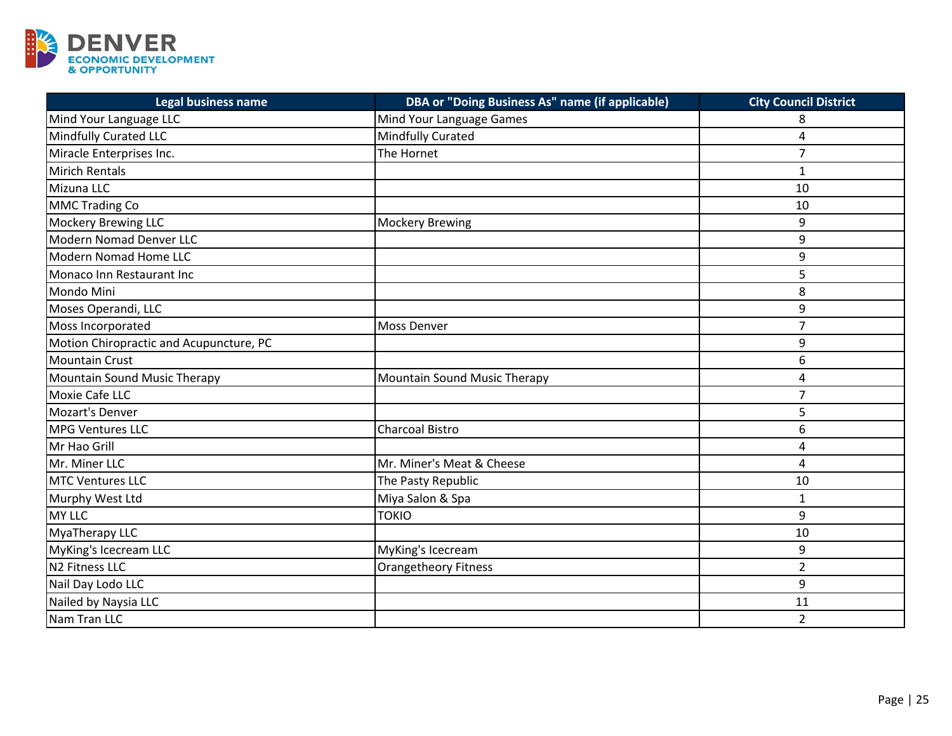

| <b>Legal business name</b>              | DBA or "Doing Business As" name (if applicable) | <b>City Council District</b> |
|-----------------------------------------|-------------------------------------------------|------------------------------|
| Mind Your Language LLC                  | Mind Your Language Games                        | 8                            |
| Mindfully Curated LLC                   | Mindfully Curated                               | 4                            |
| Miracle Enterprises Inc.                | The Hornet                                      | $\overline{7}$               |
| <b>Mirich Rentals</b>                   |                                                 | $\mathbf{1}$                 |
| Mizuna LLC                              |                                                 | 10                           |
| <b>MMC Trading Co</b>                   |                                                 | 10                           |
| <b>Mockery Brewing LLC</b>              | <b>Mockery Brewing</b>                          | 9                            |
| Modern Nomad Denver LLC                 |                                                 | 9                            |
| Modern Nomad Home LLC                   |                                                 | 9                            |
| Monaco Inn Restaurant Inc               |                                                 | 5                            |
| Mondo Mini                              |                                                 | 8                            |
| Moses Operandi, LLC                     |                                                 | 9                            |
| Moss Incorporated                       | Moss Denver                                     | $\overline{7}$               |
| Motion Chiropractic and Acupuncture, PC |                                                 | 9                            |
| <b>Mountain Crust</b>                   |                                                 | 6                            |
| Mountain Sound Music Therapy            | Mountain Sound Music Therapy                    | 4                            |
| <b>Moxie Cafe LLC</b>                   |                                                 | $\overline{7}$               |
| Mozart's Denver                         |                                                 | 5                            |
| <b>MPG Ventures LLC</b>                 | <b>Charcoal Bistro</b>                          | 6                            |
| Mr Hao Grill                            |                                                 | 4                            |
| Mr. Miner LLC                           | Mr. Miner's Meat & Cheese                       | 4                            |
| <b>MTC Ventures LLC</b>                 | The Pasty Republic                              | 10                           |
| Murphy West Ltd                         | Miya Salon & Spa                                | $\mathbf{1}$                 |
| <b>MY LLC</b>                           | <b>TOKIO</b>                                    | 9                            |
| MyaTherapy LLC                          |                                                 | 10                           |
| MyKing's Icecream LLC                   | MyKing's Icecream                               | 9                            |
| N <sub>2</sub> Fitness LLC              | <b>Orangetheory Fitness</b>                     | $\overline{2}$               |
| Nail Day Lodo LLC                       |                                                 | 9                            |
| Nailed by Naysia LLC                    |                                                 | 11                           |
| Nam Tran LLC                            |                                                 | $\overline{2}$               |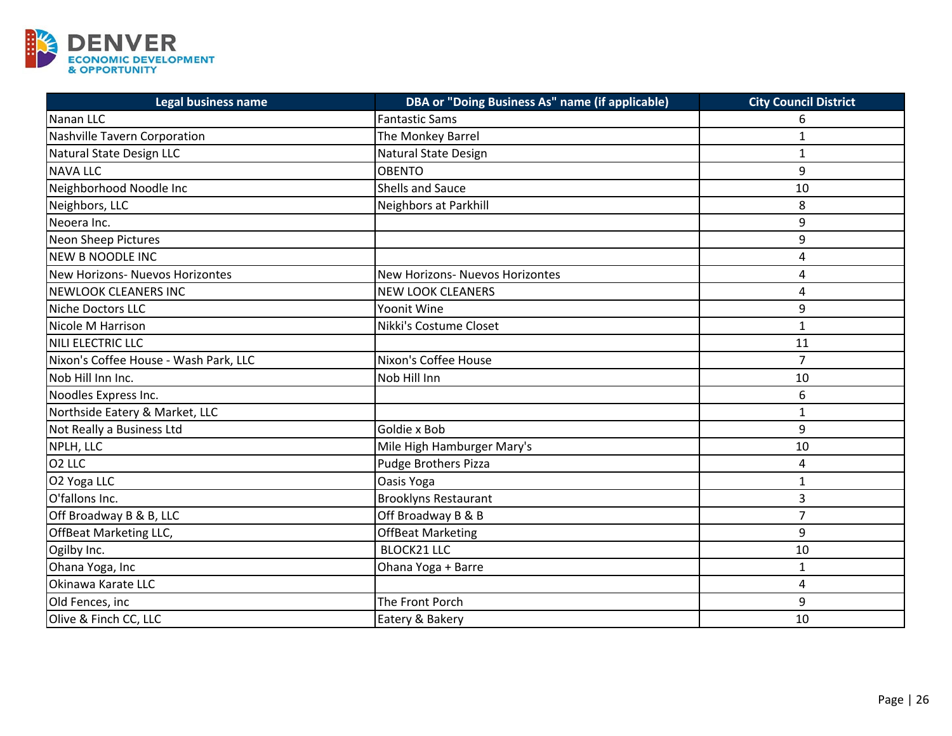

| Legal business name                   | <b>DBA or "Doing Business As" name (if applicable)</b> | <b>City Council District</b> |
|---------------------------------------|--------------------------------------------------------|------------------------------|
| Nanan LLC                             | <b>Fantastic Sams</b>                                  | 6                            |
| Nashville Tavern Corporation          | The Monkey Barrel                                      | $\mathbf{1}$                 |
| Natural State Design LLC              | Natural State Design                                   | $\mathbf{1}$                 |
| <b>NAVA LLC</b>                       | <b>OBENTO</b>                                          | 9                            |
| Neighborhood Noodle Inc               | <b>Shells and Sauce</b>                                | 10                           |
| Neighbors, LLC                        | Neighbors at Parkhill                                  | 8                            |
| Neoera Inc.                           |                                                        | 9                            |
| Neon Sheep Pictures                   |                                                        | 9                            |
| <b>NEW B NOODLE INC</b>               |                                                        | $\overline{4}$               |
| New Horizons- Nuevos Horizontes       | <b>New Horizons- Nuevos Horizontes</b>                 | 4                            |
| <b>NEWLOOK CLEANERS INC</b>           | <b>NEW LOOK CLEANERS</b>                               | 4                            |
| Niche Doctors LLC                     | Yoonit Wine                                            | 9                            |
| Nicole M Harrison                     | Nikki's Costume Closet                                 | $\mathbf{1}$                 |
| NILI ELECTRIC LLC                     |                                                        | 11                           |
| Nixon's Coffee House - Wash Park, LLC | Nixon's Coffee House                                   | $\overline{7}$               |
| Nob Hill Inn Inc.                     | Nob Hill Inn                                           | 10                           |
| Noodles Express Inc.                  |                                                        | 6                            |
| Northside Eatery & Market, LLC        |                                                        | $\mathbf{1}$                 |
| Not Really a Business Ltd             | Goldie x Bob                                           | 9                            |
| NPLH, LLC                             | Mile High Hamburger Mary's                             | 10                           |
| O <sub>2</sub> LLC                    | <b>Pudge Brothers Pizza</b>                            | 4                            |
| O2 Yoga LLC                           | Oasis Yoga                                             | $\mathbf{1}$                 |
| O'fallons Inc.                        | <b>Brooklyns Restaurant</b>                            | 3                            |
| Off Broadway B & B, LLC               | Off Broadway B & B                                     | $\overline{7}$               |
| <b>OffBeat Marketing LLC,</b>         | <b>OffBeat Marketing</b>                               | 9                            |
| Ogilby Inc.                           | <b>BLOCK21 LLC</b>                                     | 10                           |
| Ohana Yoga, Inc                       | Ohana Yoga + Barre                                     | $\mathbf{1}$                 |
| Okinawa Karate LLC                    |                                                        | 4                            |
| Old Fences, inc                       | The Front Porch                                        | 9                            |
| Olive & Finch CC, LLC                 | Eatery & Bakery                                        | 10                           |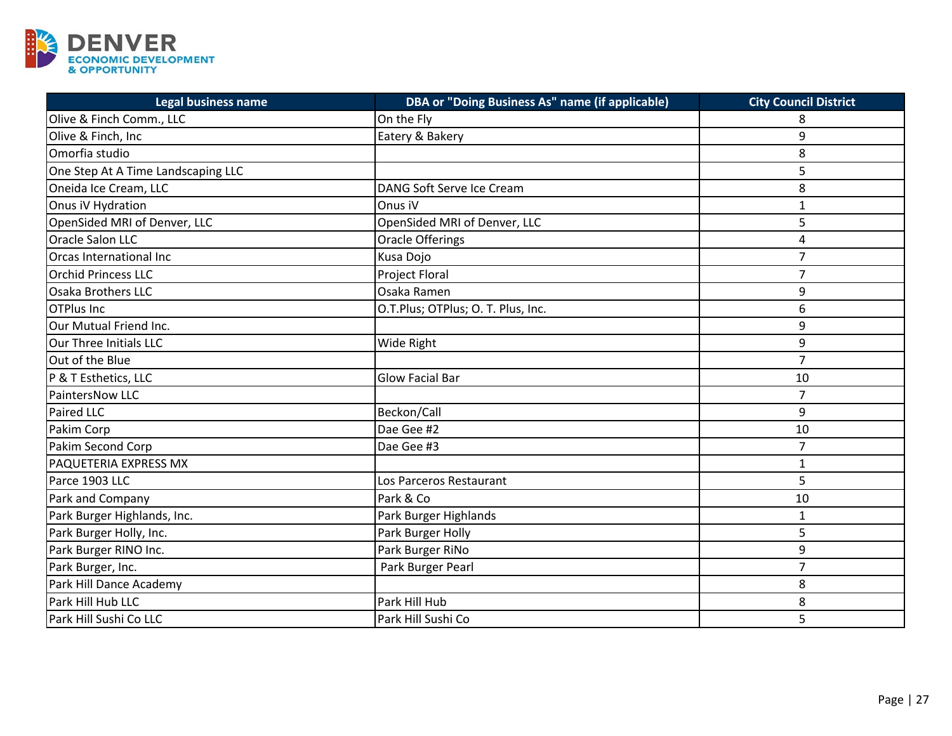

| Legal business name                | DBA or "Doing Business As" name (if applicable) | <b>City Council District</b> |
|------------------------------------|-------------------------------------------------|------------------------------|
| Olive & Finch Comm., LLC           | On the Fly                                      | 8                            |
| Olive & Finch, Inc                 | Eatery & Bakery                                 | 9                            |
| Omorfia studio                     |                                                 | 8                            |
| One Step At A Time Landscaping LLC |                                                 | 5                            |
| Oneida Ice Cream, LLC              | DANG Soft Serve Ice Cream                       | 8                            |
| Onus iV Hydration                  | Onus iV                                         | $\mathbf{1}$                 |
| OpenSided MRI of Denver, LLC       | OpenSided MRI of Denver, LLC                    | 5                            |
| <b>Oracle Salon LLC</b>            | <b>Oracle Offerings</b>                         | 4                            |
| Orcas International Inc            | Kusa Dojo                                       | $\overline{7}$               |
| <b>Orchid Princess LLC</b>         | <b>Project Floral</b>                           | $\overline{7}$               |
| Osaka Brothers LLC                 | Osaka Ramen                                     | 9                            |
| <b>OTPlus Inc</b>                  | O.T.Plus; OTPlus; O. T. Plus, Inc.              | 6                            |
| Our Mutual Friend Inc.             |                                                 | 9                            |
| Our Three Initials LLC             | Wide Right                                      | 9                            |
| Out of the Blue                    |                                                 | $\overline{7}$               |
| P & T Esthetics, LLC               | <b>Glow Facial Bar</b>                          | 10                           |
| <b>PaintersNow LLC</b>             |                                                 | $\overline{7}$               |
| Paired LLC                         | Beckon/Call                                     | 9                            |
| Pakim Corp                         | Dae Gee #2                                      | 10                           |
| Pakim Second Corp                  | Dae Gee #3                                      | $\overline{7}$               |
| PAQUETERIA EXPRESS MX              |                                                 | $\mathbf{1}$                 |
| Parce 1903 LLC                     | Los Parceros Restaurant                         | 5                            |
| Park and Company                   | Park & Co                                       | 10                           |
| Park Burger Highlands, Inc.        | Park Burger Highlands                           | 1                            |
| Park Burger Holly, Inc.            | Park Burger Holly                               | 5                            |
| Park Burger RINO Inc.              | Park Burger RiNo                                | 9                            |
| Park Burger, Inc.                  | Park Burger Pearl                               | $\overline{7}$               |
| Park Hill Dance Academy            |                                                 | 8                            |
| Park Hill Hub LLC                  | Park Hill Hub                                   | 8                            |
| Park Hill Sushi Co LLC             | Park Hill Sushi Co                              | 5                            |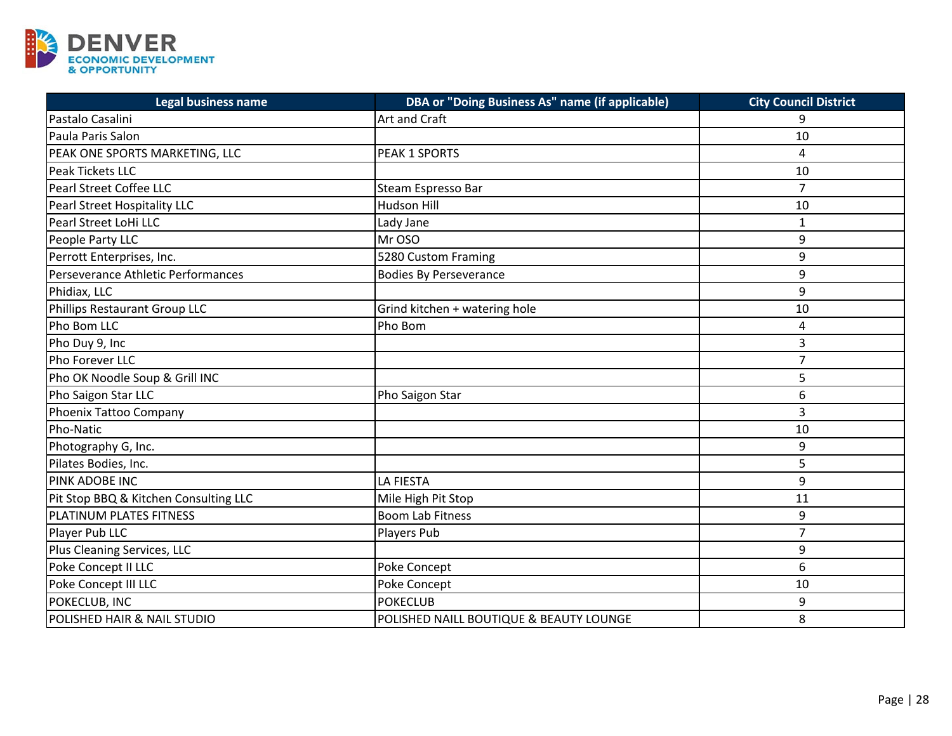

| <b>Legal business name</b>            | DBA or "Doing Business As" name (if applicable) | <b>City Council District</b> |
|---------------------------------------|-------------------------------------------------|------------------------------|
| Pastalo Casalini                      | Art and Craft                                   | 9                            |
| Paula Paris Salon                     |                                                 | 10                           |
| PEAK ONE SPORTS MARKETING, LLC        | PEAK 1 SPORTS                                   | 4                            |
| Peak Tickets LLC                      |                                                 | 10                           |
| Pearl Street Coffee LLC               | Steam Espresso Bar                              | $\overline{7}$               |
| Pearl Street Hospitality LLC          | <b>Hudson Hill</b>                              | 10                           |
| Pearl Street LoHi LLC                 | Lady Jane                                       | 1                            |
| People Party LLC                      | Mr OSO                                          | 9                            |
| Perrott Enterprises, Inc.             | 5280 Custom Framing                             | 9                            |
| Perseverance Athletic Performances    | <b>Bodies By Perseverance</b>                   | 9                            |
| Phidiax, LLC                          |                                                 | 9                            |
| Phillips Restaurant Group LLC         | Grind kitchen + watering hole                   | 10                           |
| Pho Bom LLC                           | Pho Bom                                         | $\overline{4}$               |
| Pho Duy 9, Inc                        |                                                 | 3                            |
| Pho Forever LLC                       |                                                 | $\overline{7}$               |
| Pho OK Noodle Soup & Grill INC        |                                                 | 5                            |
| Pho Saigon Star LLC                   | Pho Saigon Star                                 | 6                            |
| Phoenix Tattoo Company                |                                                 | 3                            |
| Pho-Natic                             |                                                 | 10                           |
| Photography G, Inc.                   |                                                 | 9                            |
| Pilates Bodies, Inc.                  |                                                 | 5                            |
| <b>PINK ADOBE INC</b>                 | <b>LA FIESTA</b>                                | 9                            |
| Pit Stop BBQ & Kitchen Consulting LLC | Mile High Pit Stop                              | 11                           |
| PLATINUM PLATES FITNESS               | <b>Boom Lab Fitness</b>                         | 9                            |
| Player Pub LLC                        | Players Pub                                     | $\overline{7}$               |
| Plus Cleaning Services, LLC           |                                                 | 9                            |
| Poke Concept II LLC                   | Poke Concept                                    | 6                            |
| Poke Concept III LLC                  | Poke Concept                                    | 10                           |
| POKECLUB, INC                         | <b>POKECLUB</b>                                 | 9                            |
| POLISHED HAIR & NAIL STUDIO           | POLISHED NAILL BOUTIQUE & BEAUTY LOUNGE         | 8                            |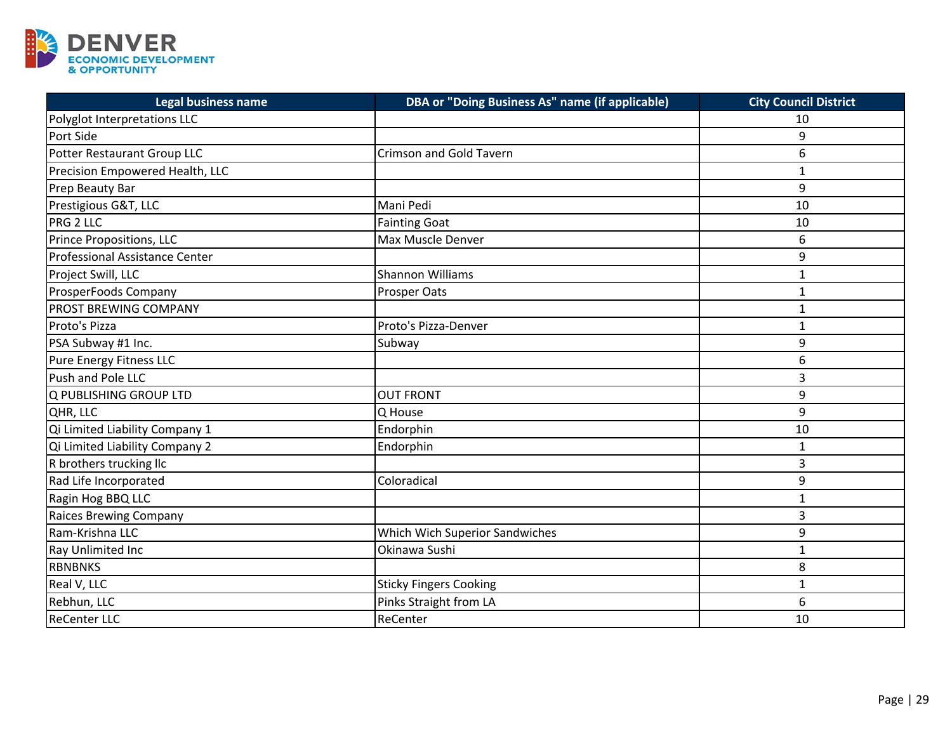

| <b>Legal business name</b>      | DBA or "Doing Business As" name (if applicable) | <b>City Council District</b> |
|---------------------------------|-------------------------------------------------|------------------------------|
| Polyglot Interpretations LLC    |                                                 | 10                           |
| Port Side                       |                                                 | 9                            |
| Potter Restaurant Group LLC     | <b>Crimson and Gold Tavern</b>                  | 6                            |
| Precision Empowered Health, LLC |                                                 | $\mathbf{1}$                 |
| Prep Beauty Bar                 |                                                 | 9                            |
| Prestigious G&T, LLC            | Mani Pedi                                       | 10                           |
| PRG 2 LLC                       | <b>Fainting Goat</b>                            | 10                           |
| Prince Propositions, LLC        | Max Muscle Denver                               | 6                            |
| Professional Assistance Center  |                                                 | 9                            |
| Project Swill, LLC              | Shannon Williams                                | $\mathbf{1}$                 |
| ProsperFoods Company            | Prosper Oats                                    | $\mathbf{1}$                 |
| PROST BREWING COMPANY           |                                                 | $\mathbf{1}$                 |
| Proto's Pizza                   | Proto's Pizza-Denver                            | $\mathbf{1}$                 |
| PSA Subway #1 Inc.              | Subway                                          | 9                            |
| Pure Energy Fitness LLC         |                                                 | 6                            |
| Push and Pole LLC               |                                                 | 3                            |
| Q PUBLISHING GROUP LTD          | <b>OUT FRONT</b>                                | 9                            |
| QHR, LLC                        | Q House                                         | 9                            |
| Qi Limited Liability Company 1  | Endorphin                                       | 10                           |
| Qi Limited Liability Company 2  | Endorphin                                       | $\mathbf{1}$                 |
| R brothers trucking llc         |                                                 | 3                            |
| Rad Life Incorporated           | Coloradical                                     | 9                            |
| Ragin Hog BBQ LLC               |                                                 | $\mathbf{1}$                 |
| <b>Raices Brewing Company</b>   |                                                 | 3                            |
| Ram-Krishna LLC                 | Which Wich Superior Sandwiches                  | 9                            |
| Ray Unlimited Inc               | Okinawa Sushi                                   | $\mathbf{1}$                 |
| <b>RBNBNKS</b>                  |                                                 | 8                            |
| Real V, LLC                     | <b>Sticky Fingers Cooking</b>                   | $\mathbf{1}$                 |
| Rebhun, LLC                     | Pinks Straight from LA                          | 6                            |
| <b>ReCenter LLC</b>             | ReCenter                                        | 10                           |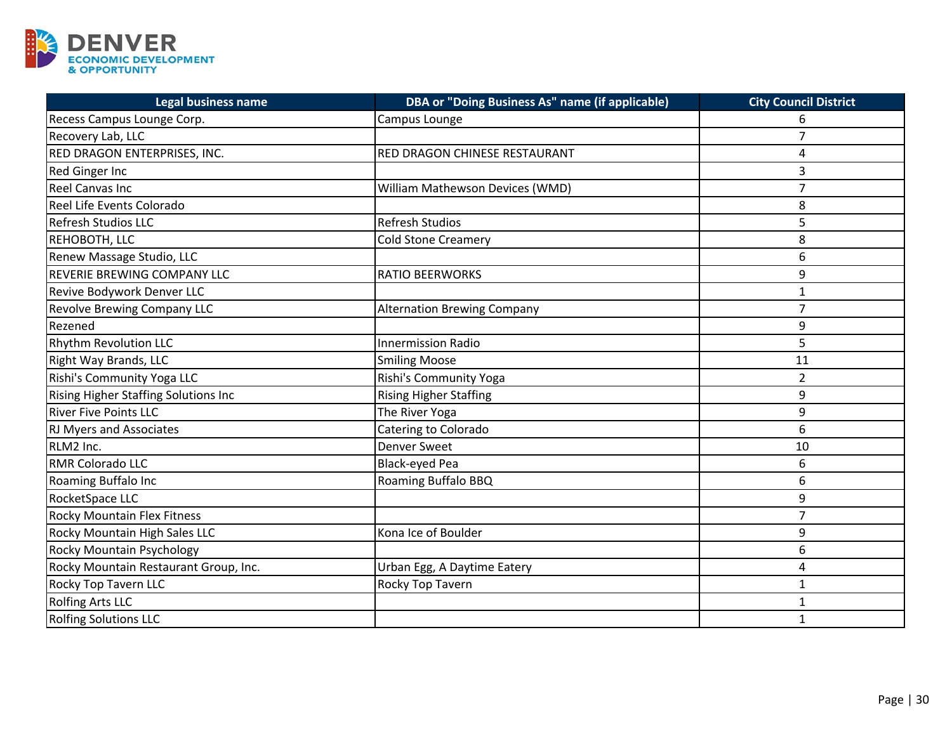

| <b>Legal business name</b>            | DBA or "Doing Business As" name (if applicable) | <b>City Council District</b> |
|---------------------------------------|-------------------------------------------------|------------------------------|
| Recess Campus Lounge Corp.            | Campus Lounge                                   | 6                            |
| Recovery Lab, LLC                     |                                                 | 7                            |
| RED DRAGON ENTERPRISES, INC.          | <b>RED DRAGON CHINESE RESTAURANT</b>            | 4                            |
| Red Ginger Inc                        |                                                 | $\overline{3}$               |
| <b>Reel Canvas Inc</b>                | William Mathewson Devices (WMD)                 | $\overline{7}$               |
| Reel Life Events Colorado             |                                                 | 8                            |
| <b>Refresh Studios LLC</b>            | <b>Refresh Studios</b>                          | 5                            |
| REHOBOTH, LLC                         | <b>Cold Stone Creamery</b>                      | 8                            |
| Renew Massage Studio, LLC             |                                                 | 6                            |
| REVERIE BREWING COMPANY LLC           | <b>RATIO BEERWORKS</b>                          | 9                            |
| Revive Bodywork Denver LLC            |                                                 | $\mathbf{1}$                 |
| <b>Revolve Brewing Company LLC</b>    | <b>Alternation Brewing Company</b>              | $\overline{7}$               |
| Rezened                               |                                                 | 9                            |
| <b>Rhythm Revolution LLC</b>          | <b>Innermission Radio</b>                       | 5                            |
| Right Way Brands, LLC                 | <b>Smiling Moose</b>                            | 11                           |
| Rishi's Community Yoga LLC            | Rishi's Community Yoga                          | $\overline{2}$               |
| Rising Higher Staffing Solutions Inc  | <b>Rising Higher Staffing</b>                   | 9                            |
| <b>River Five Points LLC</b>          | The River Yoga                                  | 9                            |
| <b>RJ Myers and Associates</b>        | Catering to Colorado                            | 6                            |
| RLM2 Inc.                             | Denver Sweet                                    | 10                           |
| RMR Colorado LLC                      | Black-eyed Pea                                  | 6                            |
| Roaming Buffalo Inc                   | Roaming Buffalo BBQ                             | 6                            |
| RocketSpace LLC                       |                                                 | 9                            |
| <b>Rocky Mountain Flex Fitness</b>    |                                                 | $\overline{7}$               |
| Rocky Mountain High Sales LLC         | Kona Ice of Boulder                             | 9                            |
| Rocky Mountain Psychology             |                                                 | 6                            |
| Rocky Mountain Restaurant Group, Inc. | Urban Egg, A Daytime Eatery                     | $\overline{a}$               |
| Rocky Top Tavern LLC                  | Rocky Top Tavern                                | $\mathbf{1}$                 |
| <b>Rolfing Arts LLC</b>               |                                                 | 1                            |
| <b>Rolfing Solutions LLC</b>          |                                                 | $\mathbf{1}$                 |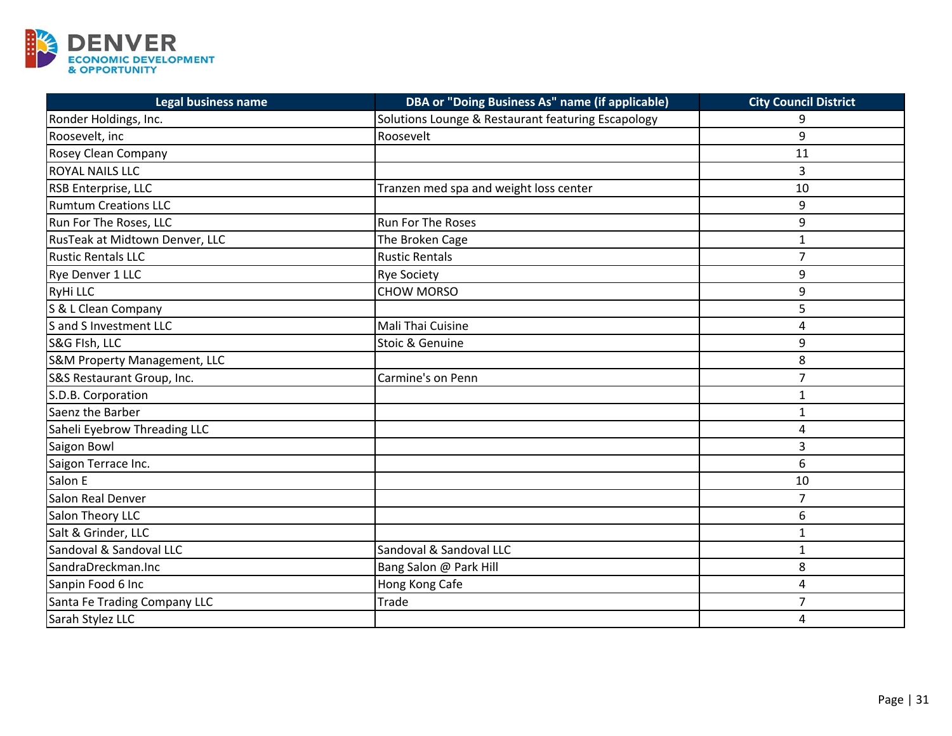

| <b>Legal business name</b>              | DBA or "Doing Business As" name (if applicable)    | <b>City Council District</b> |
|-----------------------------------------|----------------------------------------------------|------------------------------|
| Ronder Holdings, Inc.                   | Solutions Lounge & Restaurant featuring Escapology | 9                            |
| Roosevelt, inc                          | Roosevelt                                          | 9                            |
| Rosey Clean Company                     |                                                    | 11                           |
| <b>ROYAL NAILS LLC</b>                  |                                                    | $\overline{3}$               |
| RSB Enterprise, LLC                     | Tranzen med spa and weight loss center             | 10                           |
| <b>Rumtum Creations LLC</b>             |                                                    | 9                            |
| Run For The Roses, LLC                  | <b>Run For The Roses</b>                           | 9                            |
| RusTeak at Midtown Denver, LLC          | The Broken Cage                                    | $\mathbf{1}$                 |
| <b>Rustic Rentals LLC</b>               | <b>Rustic Rentals</b>                              | $\overline{7}$               |
| Rye Denver 1 LLC                        | <b>Rye Society</b>                                 | 9                            |
| RyHi LLC                                | <b>CHOW MORSO</b>                                  | 9                            |
| S & L Clean Company                     |                                                    | 5                            |
| S and S Investment LLC                  | Mali Thai Cuisine                                  | $\overline{a}$               |
| S&G FIsh, LLC                           | Stoic & Genuine                                    | 9                            |
| <b>S&amp;M Property Management, LLC</b> |                                                    | 8                            |
| S&S Restaurant Group, Inc.              | Carmine's on Penn                                  | $\overline{7}$               |
| S.D.B. Corporation                      |                                                    | 1                            |
| Saenz the Barber                        |                                                    | $\mathbf{1}$                 |
| Saheli Eyebrow Threading LLC            |                                                    | 4                            |
| Saigon Bowl                             |                                                    | 3                            |
| Saigon Terrace Inc.                     |                                                    | 6                            |
| Salon E                                 |                                                    | 10                           |
| Salon Real Denver                       |                                                    | $\overline{7}$               |
| Salon Theory LLC                        |                                                    | 6                            |
| Salt & Grinder, LLC                     |                                                    | $\mathbf{1}$                 |
| Sandoval & Sandoval LLC                 | Sandoval & Sandoval LLC                            | $\mathbf{1}$                 |
| SandraDreckman.Inc                      | Bang Salon @ Park Hill                             | 8                            |
| Sanpin Food 6 Inc                       | Hong Kong Cafe                                     | $\overline{4}$               |
| Santa Fe Trading Company LLC            | <b>Trade</b>                                       | $\overline{7}$               |
| Sarah Stylez LLC                        |                                                    | 4                            |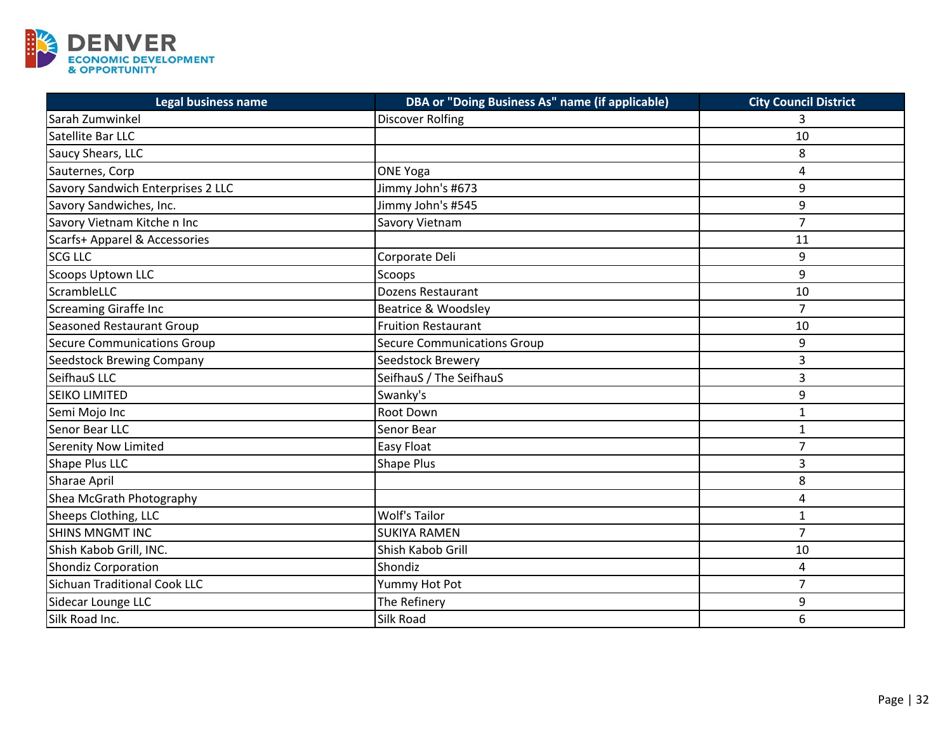

| <b>Legal business name</b>          | <b>DBA or "Doing Business As" name (if applicable)</b> | <b>City Council District</b> |
|-------------------------------------|--------------------------------------------------------|------------------------------|
| Sarah Zumwinkel                     | <b>Discover Rolfing</b>                                | 3                            |
| Satellite Bar LLC                   |                                                        | 10                           |
| Saucy Shears, LLC                   |                                                        | 8                            |
| Sauternes, Corp                     | <b>ONE Yoga</b>                                        | 4                            |
| Savory Sandwich Enterprises 2 LLC   | Jimmy John's #673                                      | 9                            |
| Savory Sandwiches, Inc.             | Jimmy John's #545                                      | 9                            |
| Savory Vietnam Kitche n Inc         | Savory Vietnam                                         | $\overline{7}$               |
| Scarfs+ Apparel & Accessories       |                                                        | 11                           |
| <b>SCG LLC</b>                      | Corporate Deli                                         | 9                            |
| <b>Scoops Uptown LLC</b>            | Scoops                                                 | 9                            |
| ScrambleLLC                         | <b>Dozens Restaurant</b>                               | 10                           |
| <b>Screaming Giraffe Inc</b>        | Beatrice & Woodsley                                    | $\overline{7}$               |
| <b>Seasoned Restaurant Group</b>    | <b>Fruition Restaurant</b>                             | 10                           |
| <b>Secure Communications Group</b>  | <b>Secure Communications Group</b>                     | 9                            |
| <b>Seedstock Brewing Company</b>    | Seedstock Brewery                                      | 3                            |
| SeifhauS LLC                        | SeifhauS / The SeifhauS                                | 3                            |
| <b>SEIKO LIMITED</b>                | Swanky's                                               | 9                            |
| Semi Mojo Inc                       | Root Down                                              | $\mathbf{1}$                 |
| Senor Bear LLC                      | Senor Bear                                             | $\mathbf{1}$                 |
| <b>Serenity Now Limited</b>         | Easy Float                                             | 7                            |
| Shape Plus LLC                      | Shape Plus                                             | 3                            |
| <b>Sharae April</b>                 |                                                        | 8                            |
| Shea McGrath Photography            |                                                        | $\overline{4}$               |
| Sheeps Clothing, LLC                | <b>Wolf's Tailor</b>                                   | $\mathbf{1}$                 |
| <b>SHINS MNGMT INC</b>              | <b>SUKIYA RAMEN</b>                                    | $\overline{7}$               |
| Shish Kabob Grill, INC.             | Shish Kabob Grill                                      | 10                           |
| <b>Shondiz Corporation</b>          | Shondiz                                                | $\overline{4}$               |
| <b>Sichuan Traditional Cook LLC</b> | Yummy Hot Pot                                          | $\overline{7}$               |
| Sidecar Lounge LLC                  | The Refinery                                           | 9                            |
| Silk Road Inc.                      | Silk Road                                              | 6                            |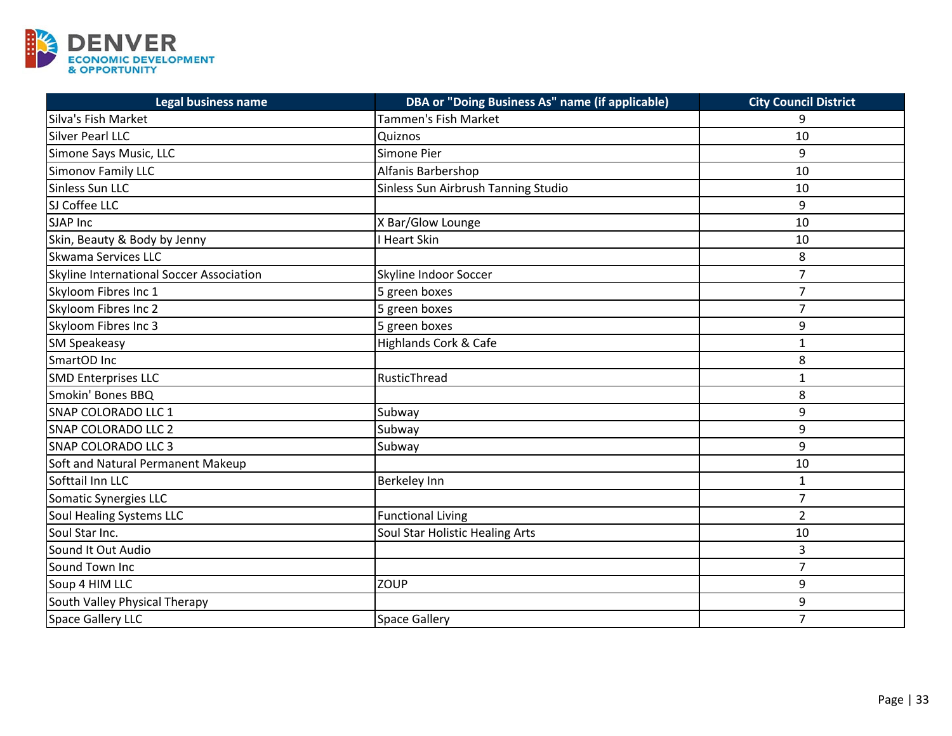

| <b>Legal business name</b>               | DBA or "Doing Business As" name (if applicable) | <b>City Council District</b> |
|------------------------------------------|-------------------------------------------------|------------------------------|
| Silva's Fish Market                      | Tammen's Fish Market                            | 9                            |
| Silver Pearl LLC                         | Quiznos                                         | 10                           |
| Simone Says Music, LLC                   | Simone Pier                                     | 9                            |
| Simonov Family LLC                       | Alfanis Barbershop                              | 10                           |
| Sinless Sun LLC                          | Sinless Sun Airbrush Tanning Studio             | 10                           |
| SJ Coffee LLC                            |                                                 | 9                            |
| <b>SJAP Inc</b>                          | X Bar/Glow Lounge                               | 10                           |
| Skin, Beauty & Body by Jenny             | I Heart Skin                                    | 10                           |
| <b>Skwama Services LLC</b>               |                                                 | 8                            |
| Skyline International Soccer Association | Skyline Indoor Soccer                           | $\overline{7}$               |
| Skyloom Fibres Inc 1                     | 5 green boxes                                   | $\overline{7}$               |
| Skyloom Fibres Inc 2                     | 5 green boxes                                   | $\overline{7}$               |
| Skyloom Fibres Inc 3                     | 5 green boxes                                   | 9                            |
| <b>SM Speakeasy</b>                      | <b>Highlands Cork &amp; Cafe</b>                | $\mathbf{1}$                 |
| SmartOD Inc                              |                                                 | 8                            |
| <b>SMD Enterprises LLC</b>               | RusticThread                                    | $\mathbf{1}$                 |
| Smokin' Bones BBQ                        |                                                 | 8                            |
| SNAP COLORADO LLC 1                      | Subway                                          | 9                            |
| <b>SNAP COLORADO LLC 2</b>               | Subway                                          | 9                            |
| <b>SNAP COLORADO LLC 3</b>               | Subway                                          | 9                            |
| Soft and Natural Permanent Makeup        |                                                 | 10                           |
| Softtail Inn LLC                         | Berkeley Inn                                    | $\mathbf 1$                  |
| Somatic Synergies LLC                    |                                                 | $\overline{7}$               |
| Soul Healing Systems LLC                 | <b>Functional Living</b>                        | $\overline{2}$               |
| Soul Star Inc.                           | Soul Star Holistic Healing Arts                 | 10                           |
| Sound It Out Audio                       |                                                 | 3                            |
| Sound Town Inc                           |                                                 | $\overline{7}$               |
| Soup 4 HIM LLC                           | ZOUP                                            | 9                            |
| South Valley Physical Therapy            |                                                 | 9                            |
| Space Gallery LLC                        | <b>Space Gallery</b>                            | $\overline{7}$               |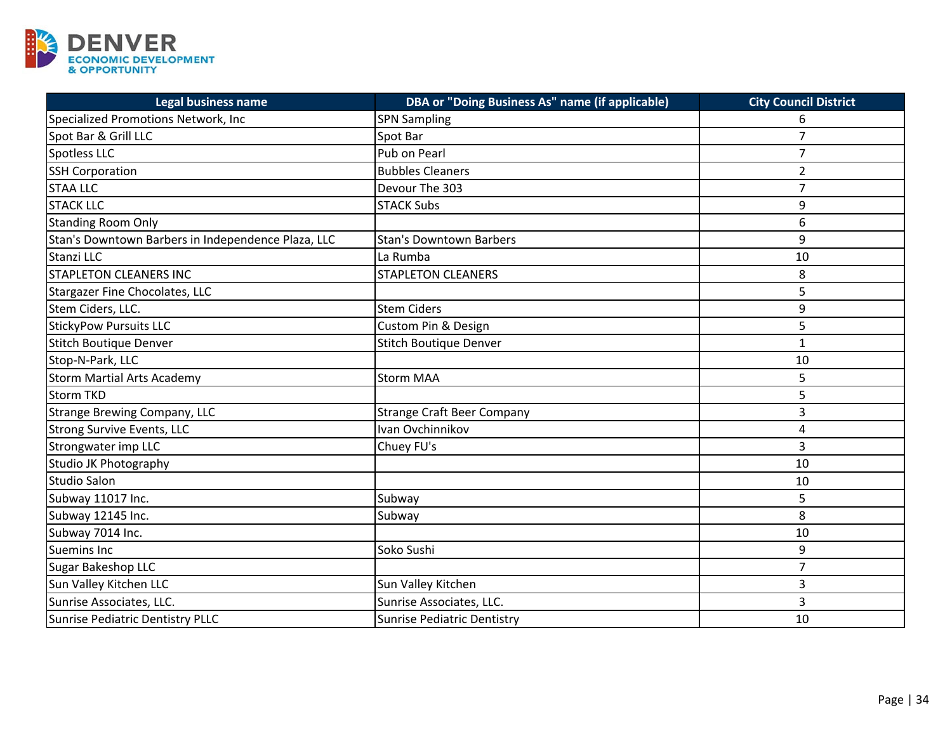

| <b>Legal business name</b>                         | DBA or "Doing Business As" name (if applicable) | <b>City Council District</b> |
|----------------------------------------------------|-------------------------------------------------|------------------------------|
| Specialized Promotions Network, Inc                | <b>SPN Sampling</b>                             | 6                            |
| Spot Bar & Grill LLC                               | Spot Bar                                        | $\overline{7}$               |
| Spotless LLC                                       | Pub on Pearl                                    | $\overline{7}$               |
| <b>SSH Corporation</b>                             | <b>Bubbles Cleaners</b>                         | $\overline{2}$               |
| <b>STAA LLC</b>                                    | Devour The 303                                  | $\overline{7}$               |
| <b>STACK LLC</b>                                   | <b>STACK Subs</b>                               | 9                            |
| <b>Standing Room Only</b>                          |                                                 | 6                            |
| Stan's Downtown Barbers in Independence Plaza, LLC | <b>Stan's Downtown Barbers</b>                  | 9                            |
| Stanzi LLC                                         | La Rumba                                        | 10                           |
| <b>STAPLETON CLEANERS INC</b>                      | <b>STAPLETON CLEANERS</b>                       | 8                            |
| Stargazer Fine Chocolates, LLC                     |                                                 | 5                            |
| Stem Ciders, LLC.                                  | <b>Stem Ciders</b>                              | 9                            |
| <b>StickyPow Pursuits LLC</b>                      | Custom Pin & Design                             | 5                            |
| <b>Stitch Boutique Denver</b>                      | <b>Stitch Boutique Denver</b>                   | $\mathbf{1}$                 |
| Stop-N-Park, LLC                                   |                                                 | 10                           |
| <b>Storm Martial Arts Academy</b>                  | <b>Storm MAA</b>                                | 5                            |
| <b>Storm TKD</b>                                   |                                                 | 5                            |
| <b>Strange Brewing Company, LLC</b>                | <b>Strange Craft Beer Company</b>               | 3                            |
| <b>Strong Survive Events, LLC</b>                  | Ivan Ovchinnikov                                | 4                            |
| Strongwater imp LLC                                | Chuey FU's                                      | 3                            |
| Studio JK Photography                              |                                                 | 10                           |
| <b>Studio Salon</b>                                |                                                 | 10                           |
| Subway 11017 Inc.                                  | Subway                                          | 5                            |
| Subway 12145 Inc.                                  | Subway                                          | 8                            |
| Subway 7014 Inc.                                   |                                                 | 10                           |
| Suemins Inc                                        | Soko Sushi                                      | 9                            |
| <b>Sugar Bakeshop LLC</b>                          |                                                 | $\overline{7}$               |
| Sun Valley Kitchen LLC                             | Sun Valley Kitchen                              | 3                            |
| Sunrise Associates, LLC.                           | Sunrise Associates, LLC.                        | 3                            |
| <b>Sunrise Pediatric Dentistry PLLC</b>            | <b>Sunrise Pediatric Dentistry</b>              | 10                           |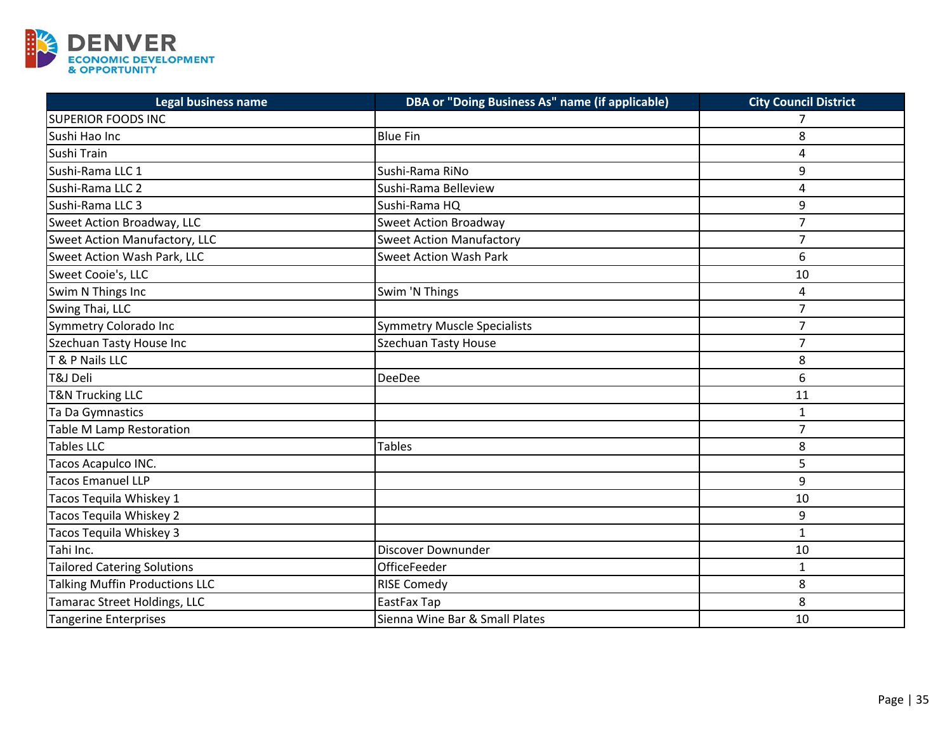

| <b>Legal business name</b>         | DBA or "Doing Business As" name (if applicable) | <b>City Council District</b> |
|------------------------------------|-------------------------------------------------|------------------------------|
| <b>SUPERIOR FOODS INC</b>          |                                                 | 7                            |
| Sushi Hao Inc                      | <b>Blue Fin</b>                                 | 8                            |
| Sushi Train                        |                                                 | 4                            |
| Sushi-Rama LLC 1                   | Sushi-Rama RiNo                                 | 9                            |
| Sushi-Rama LLC 2                   | Sushi-Rama Belleview                            | 4                            |
| Sushi-Rama LLC 3                   | Sushi-Rama HQ                                   | 9                            |
| Sweet Action Broadway, LLC         | <b>Sweet Action Broadway</b>                    | $\overline{7}$               |
| Sweet Action Manufactory, LLC      | <b>Sweet Action Manufactory</b>                 | $\overline{7}$               |
| Sweet Action Wash Park, LLC        | <b>Sweet Action Wash Park</b>                   | 6                            |
| Sweet Cooie's, LLC                 |                                                 | 10                           |
| Swim N Things Inc                  | Swim 'N Things                                  | 4                            |
| Swing Thai, LLC                    |                                                 | $\overline{7}$               |
| Symmetry Colorado Inc              | <b>Symmetry Muscle Specialists</b>              | $\overline{7}$               |
| Szechuan Tasty House Inc           | <b>Szechuan Tasty House</b>                     | $\overline{7}$               |
| T & P Nails LLC                    |                                                 | 8                            |
| T&J Deli                           | <b>DeeDee</b>                                   | 6                            |
| <b>T&amp;N Trucking LLC</b>        |                                                 | 11                           |
| Ta Da Gymnastics                   |                                                 | $\mathbf{1}$                 |
| Table M Lamp Restoration           |                                                 | $\overline{7}$               |
| <b>Tables LLC</b>                  | <b>Tables</b>                                   | 8                            |
| Tacos Acapulco INC.                |                                                 | 5                            |
| Tacos Emanuel LLP                  |                                                 | 9                            |
| Tacos Tequila Whiskey 1            |                                                 | 10                           |
| Tacos Tequila Whiskey 2            |                                                 | 9                            |
| Tacos Tequila Whiskey 3            |                                                 | $\mathbf{1}$                 |
| Tahi Inc.                          | Discover Downunder                              | 10                           |
| <b>Tailored Catering Solutions</b> | OfficeFeeder                                    | 1                            |
| Talking Muffin Productions LLC     | <b>RISE Comedy</b>                              | 8                            |
| Tamarac Street Holdings, LLC       | EastFax Tap                                     | 8                            |
| <b>Tangerine Enterprises</b>       | Sienna Wine Bar & Small Plates                  | 10                           |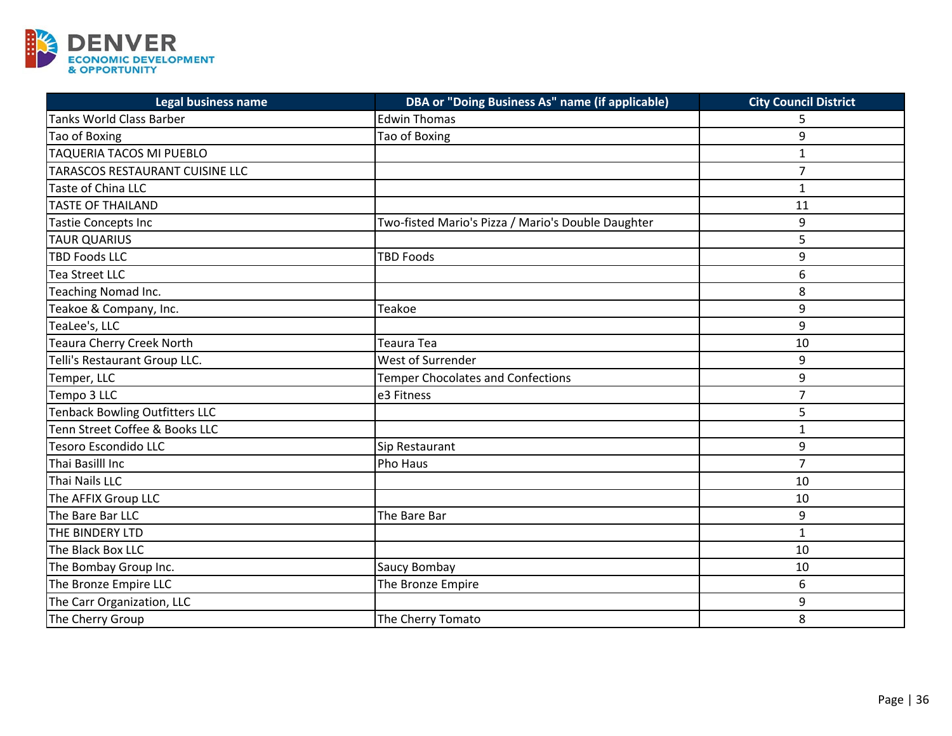

| <b>Legal business name</b>      | DBA or "Doing Business As" name (if applicable)    | <b>City Council District</b> |
|---------------------------------|----------------------------------------------------|------------------------------|
| <b>Tanks World Class Barber</b> | <b>Edwin Thomas</b>                                |                              |
| Tao of Boxing                   | Tao of Boxing                                      | 9                            |
| TAQUERIA TACOS MI PUEBLO        |                                                    | $\mathbf{1}$                 |
| TARASCOS RESTAURANT CUISINE LLC |                                                    | $\overline{7}$               |
| Taste of China LLC              |                                                    | $\mathbf{1}$                 |
| <b>TASTE OF THAILAND</b>        |                                                    | 11                           |
| Tastie Concepts Inc             | Two-fisted Mario's Pizza / Mario's Double Daughter | 9                            |
| <b>TAUR QUARIUS</b>             |                                                    | 5                            |
| <b>TBD Foods LLC</b>            | <b>TBD Foods</b>                                   | 9                            |
| Tea Street LLC                  |                                                    | 6                            |
| Teaching Nomad Inc.             |                                                    | 8                            |
| Teakoe & Company, Inc.          | Teakoe                                             | 9                            |
| TeaLee's, LLC                   |                                                    | 9                            |
| Teaura Cherry Creek North       | Teaura Tea                                         | 10                           |
| Telli's Restaurant Group LLC.   | West of Surrender                                  | 9                            |
| Temper, LLC                     | <b>Temper Chocolates and Confections</b>           | 9                            |
| Tempo 3 LLC                     | e3 Fitness                                         | $\overline{7}$               |
| Tenback Bowling Outfitters LLC  |                                                    | 5                            |
| Tenn Street Coffee & Books LLC  |                                                    | $\mathbf{1}$                 |
| Tesoro Escondido LLC            | Sip Restaurant                                     | 9                            |
| Thai Basilll Inc                | Pho Haus                                           | $\overline{7}$               |
| Thai Nails LLC                  |                                                    | 10                           |
| The AFFIX Group LLC             |                                                    | 10                           |
| The Bare Bar LLC                | The Bare Bar                                       | 9                            |
| THE BINDERY LTD                 |                                                    | $\mathbf{1}$                 |
| The Black Box LLC               |                                                    | 10                           |
| The Bombay Group Inc.           | Saucy Bombay                                       | 10                           |
| The Bronze Empire LLC           | The Bronze Empire                                  | 6                            |
| The Carr Organization, LLC      |                                                    | 9                            |
| The Cherry Group                | The Cherry Tomato                                  | 8                            |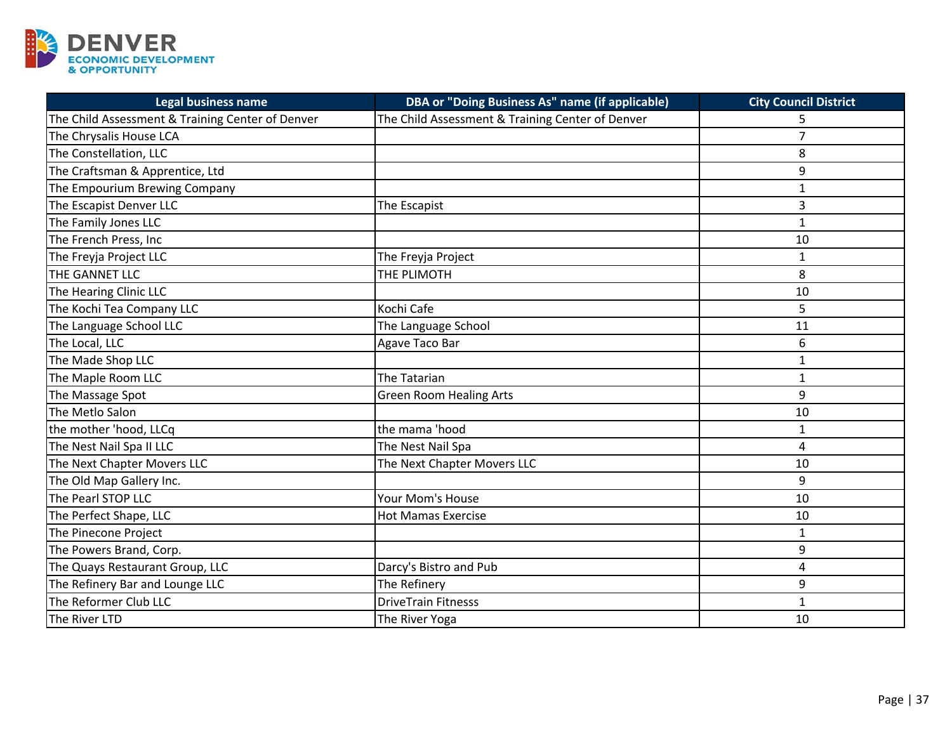

| <b>Legal business name</b>                       | <b>DBA or "Doing Business As" name (if applicable)</b> | <b>City Council District</b> |
|--------------------------------------------------|--------------------------------------------------------|------------------------------|
| The Child Assessment & Training Center of Denver | The Child Assessment & Training Center of Denver       |                              |
| The Chrysalis House LCA                          |                                                        | $\overline{7}$               |
| The Constellation, LLC                           |                                                        | 8                            |
| The Craftsman & Apprentice, Ltd                  |                                                        | 9                            |
| The Empourium Brewing Company                    |                                                        | $\mathbf{1}$                 |
| The Escapist Denver LLC                          | The Escapist                                           | 3                            |
| The Family Jones LLC                             |                                                        | $\mathbf{1}$                 |
| The French Press, Inc                            |                                                        | 10                           |
| The Freyja Project LLC                           | The Freyja Project                                     | $\mathbf{1}$                 |
| THE GANNET LLC                                   | THE PLIMOTH                                            | 8                            |
| The Hearing Clinic LLC                           |                                                        | 10                           |
| The Kochi Tea Company LLC                        | Kochi Cafe                                             | 5                            |
| The Language School LLC                          | The Language School                                    | 11                           |
| The Local, LLC                                   | Agave Taco Bar                                         | 6                            |
| The Made Shop LLC                                |                                                        | $\mathbf{1}$                 |
| The Maple Room LLC                               | The Tatarian                                           | $\mathbf{1}$                 |
| The Massage Spot                                 | <b>Green Room Healing Arts</b>                         | 9                            |
| The Metlo Salon                                  |                                                        | 10                           |
| the mother 'hood, LLCq                           | the mama 'hood                                         | $\mathbf{1}$                 |
| The Nest Nail Spa II LLC                         | The Nest Nail Spa                                      | 4                            |
| The Next Chapter Movers LLC                      | The Next Chapter Movers LLC                            | 10                           |
| The Old Map Gallery Inc.                         |                                                        | 9                            |
| The Pearl STOP LLC                               | Your Mom's House                                       | 10                           |
| The Perfect Shape, LLC                           | <b>Hot Mamas Exercise</b>                              | 10                           |
| The Pinecone Project                             |                                                        | 1                            |
| The Powers Brand, Corp.                          |                                                        | 9                            |
| The Quays Restaurant Group, LLC                  | Darcy's Bistro and Pub                                 | 4                            |
| The Refinery Bar and Lounge LLC                  | The Refinery                                           | 9                            |
| The Reformer Club LLC                            | <b>DriveTrain Fitnesss</b>                             | $\mathbf{1}$                 |
| The River LTD                                    | The River Yoga                                         | 10                           |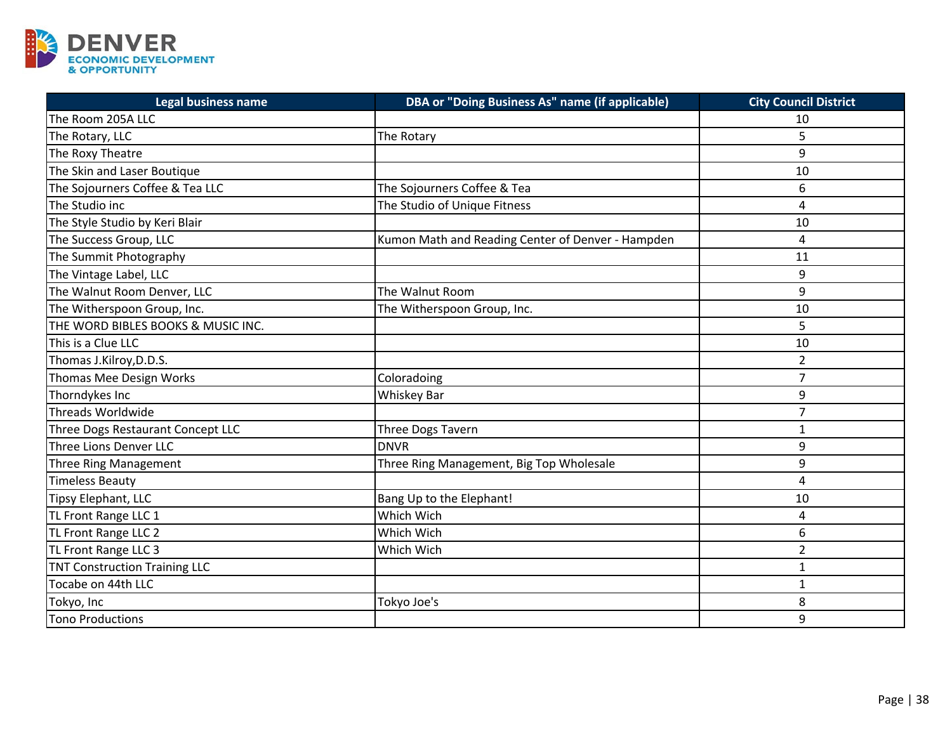

| <b>Legal business name</b>           | DBA or "Doing Business As" name (if applicable)   | <b>City Council District</b> |
|--------------------------------------|---------------------------------------------------|------------------------------|
| The Room 205A LLC                    |                                                   | 10                           |
| The Rotary, LLC                      | The Rotary                                        | 5                            |
| The Roxy Theatre                     |                                                   | 9                            |
| The Skin and Laser Boutique          |                                                   | 10                           |
| The Sojourners Coffee & Tea LLC      | The Sojourners Coffee & Tea                       | 6                            |
| The Studio inc                       | The Studio of Unique Fitness                      | 4                            |
| The Style Studio by Keri Blair       |                                                   | 10                           |
| The Success Group, LLC               | Kumon Math and Reading Center of Denver - Hampden | 4                            |
| The Summit Photography               |                                                   | 11                           |
| The Vintage Label, LLC               |                                                   | 9                            |
| The Walnut Room Denver, LLC          | The Walnut Room                                   | 9                            |
| The Witherspoon Group, Inc.          | The Witherspoon Group, Inc.                       | 10                           |
| THE WORD BIBLES BOOKS & MUSIC INC.   |                                                   | 5                            |
| This is a Clue LLC                   |                                                   | 10                           |
| Thomas J.Kilroy, D.D.S.              |                                                   | $\overline{2}$               |
| Thomas Mee Design Works              | Coloradoing                                       | $\overline{7}$               |
| Thorndykes Inc                       | Whiskey Bar                                       | 9                            |
| Threads Worldwide                    |                                                   | $\overline{7}$               |
| Three Dogs Restaurant Concept LLC    | Three Dogs Tavern                                 | $\mathbf{1}$                 |
| Three Lions Denver LLC               | <b>DNVR</b>                                       | 9                            |
| <b>Three Ring Management</b>         | Three Ring Management, Big Top Wholesale          | 9                            |
| <b>Timeless Beauty</b>               |                                                   | 4                            |
| Tipsy Elephant, LLC                  | Bang Up to the Elephant!                          | 10                           |
| TL Front Range LLC 1                 | Which Wich                                        | 4                            |
| TL Front Range LLC 2                 | Which Wich                                        | 6                            |
| TL Front Range LLC 3                 | Which Wich                                        | $\overline{2}$               |
| <b>TNT Construction Training LLC</b> |                                                   | $\mathbf{1}$                 |
| Tocabe on 44th LLC                   |                                                   | 1                            |
| Tokyo, Inc                           | Tokyo Joe's                                       | 8                            |
| Tono Productions                     |                                                   | 9                            |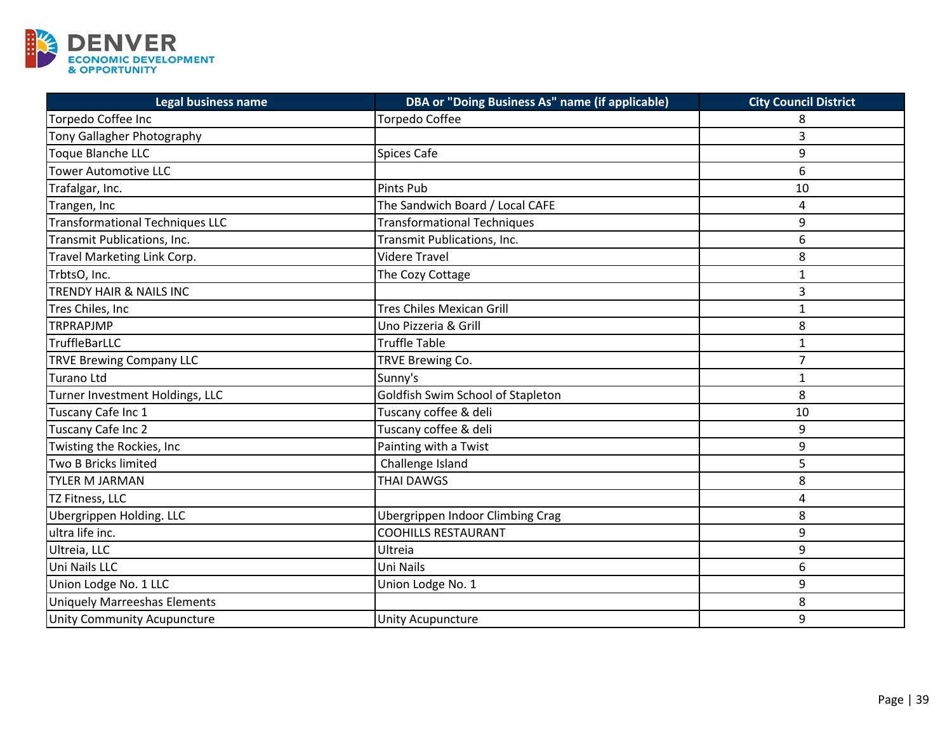

| <b>Legal business name</b>             | DBA or "Doing Business As" name (if applicable) | <b>City Council District</b> |
|----------------------------------------|-------------------------------------------------|------------------------------|
| Torpedo Coffee Inc                     | <b>Torpedo Coffee</b>                           | 8                            |
| Tony Gallagher Photography             |                                                 | 3                            |
| Toque Blanche LLC                      | <b>Spices Cafe</b>                              | 9                            |
| <b>Tower Automotive LLC</b>            |                                                 | 6                            |
| Trafalgar, Inc.                        | Pints Pub                                       | 10                           |
| Trangen, Inc                           | The Sandwich Board / Local CAFE                 | 4                            |
| <b>Transformational Techniques LLC</b> | <b>Transformational Techniques</b>              | 9                            |
| Transmit Publications, Inc.            | Transmit Publications, Inc.                     | 6                            |
| Travel Marketing Link Corp.            | <b>Videre Travel</b>                            | 8                            |
| TrbtsO, Inc.                           | The Cozy Cottage                                | $\mathbf{1}$                 |
| TRENDY HAIR & NAILS INC                |                                                 | 3                            |
| Tres Chiles, Inc                       | <b>Tres Chiles Mexican Grill</b>                | $\mathbf{1}$                 |
| <b>TRPRAPJMP</b>                       | Uno Pizzeria & Grill                            | 8                            |
| TruffleBarLLC                          | <b>Truffle Table</b>                            | $\mathbf{1}$                 |
| <b>TRVE Brewing Company LLC</b>        | TRVE Brewing Co.                                | $\overline{7}$               |
| <b>Turano Ltd</b>                      | Sunny's                                         | 1                            |
| Turner Investment Holdings, LLC        | Goldfish Swim School of Stapleton               | 8                            |
| Tuscany Cafe Inc 1                     | Tuscany coffee & deli                           | 10                           |
| Tuscany Cafe Inc 2                     | Tuscany coffee & deli                           | 9                            |
| Twisting the Rockies, Inc              | Painting with a Twist                           | 9                            |
| Two B Bricks limited                   | Challenge Island                                | 5                            |
| <b>TYLER M JARMAN</b>                  | <b>THAI DAWGS</b>                               | 8                            |
| TZ Fitness, LLC                        |                                                 | 4                            |
| <b>Ubergrippen Holding. LLC</b>        | <b>Ubergrippen Indoor Climbing Crag</b>         | 8                            |
| ultra life inc.                        | <b>COOHILLS RESTAURANT</b>                      | 9                            |
| Ultreia, LLC                           | Ultreia                                         | 9                            |
| Uni Nails LLC                          | Uni Nails                                       | 6                            |
| Union Lodge No. 1 LLC                  | Union Lodge No. 1                               | 9                            |
| <b>Uniquely Marreeshas Elements</b>    |                                                 | 8                            |
| <b>Unity Community Acupuncture</b>     | <b>Unity Acupuncture</b>                        | 9                            |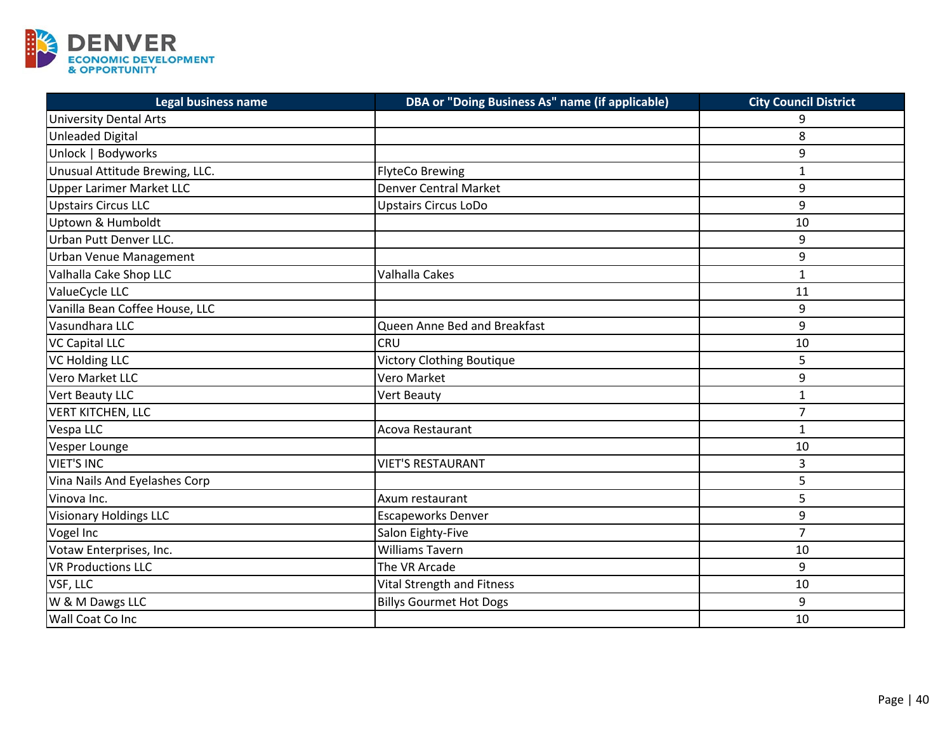

| <b>Legal business name</b>      | DBA or "Doing Business As" name (if applicable) | <b>City Council District</b> |
|---------------------------------|-------------------------------------------------|------------------------------|
| <b>University Dental Arts</b>   |                                                 | q                            |
| <b>Unleaded Digital</b>         |                                                 | 8                            |
| Unlock   Bodyworks              |                                                 | 9                            |
| Unusual Attitude Brewing, LLC.  | <b>FlyteCo Brewing</b>                          | $\mathbf{1}$                 |
| <b>Upper Larimer Market LLC</b> | <b>Denver Central Market</b>                    | 9                            |
| <b>Upstairs Circus LLC</b>      | <b>Upstairs Circus LoDo</b>                     | 9                            |
| Uptown & Humboldt               |                                                 | 10                           |
| Urban Putt Denver LLC.          |                                                 | 9                            |
| Urban Venue Management          |                                                 | 9                            |
| Valhalla Cake Shop LLC          | <b>Valhalla Cakes</b>                           | $\mathbf{1}$                 |
| ValueCycle LLC                  |                                                 | 11                           |
| Vanilla Bean Coffee House, LLC  |                                                 | 9                            |
| Vasundhara LLC                  | Queen Anne Bed and Breakfast                    | 9                            |
| <b>VC Capital LLC</b>           | <b>CRU</b>                                      | 10                           |
| <b>VC Holding LLC</b>           | <b>Victory Clothing Boutique</b>                | 5                            |
| Vero Market LLC                 | Vero Market                                     | 9                            |
| Vert Beauty LLC                 | Vert Beauty                                     | $\mathbf{1}$                 |
| <b>VERT KITCHEN, LLC</b>        |                                                 | $\overline{7}$               |
| Vespa LLC                       | Acova Restaurant                                | $\mathbf{1}$                 |
| Vesper Lounge                   |                                                 | 10                           |
| <b>VIET'S INC</b>               | <b>VIET'S RESTAURANT</b>                        | 3                            |
| Vina Nails And Eyelashes Corp   |                                                 | 5                            |
| Vinova Inc.                     | Axum restaurant                                 | 5                            |
| <b>Visionary Holdings LLC</b>   | <b>Escapeworks Denver</b>                       | 9                            |
| Vogel Inc                       | Salon Eighty-Five                               | $\overline{7}$               |
| Votaw Enterprises, Inc.         | <b>Williams Tavern</b>                          | 10                           |
| <b>VR Productions LLC</b>       | The VR Arcade                                   | 9                            |
| VSF, LLC                        | <b>Vital Strength and Fitness</b>               | 10                           |
| W & M Dawgs LLC                 | <b>Billys Gourmet Hot Dogs</b>                  | 9                            |
| Wall Coat Co Inc                |                                                 | 10                           |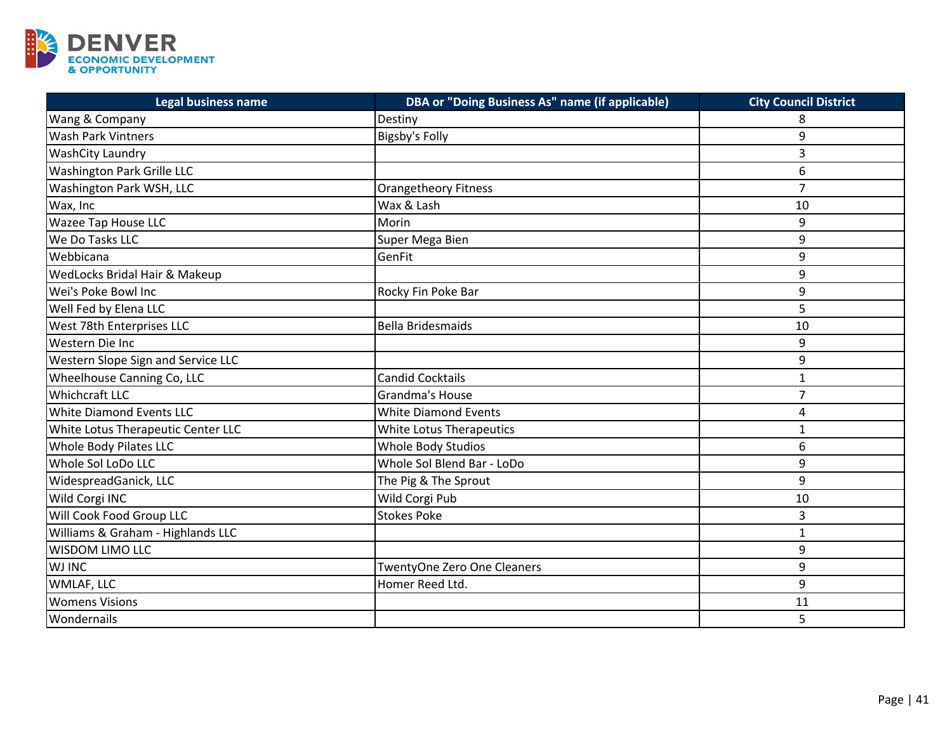

| <b>Legal business name</b>         | DBA or "Doing Business As" name (if applicable) | <b>City Council District</b> |
|------------------------------------|-------------------------------------------------|------------------------------|
| Wang & Company                     | Destiny                                         | 8                            |
| <b>Wash Park Vintners</b>          | <b>Bigsby's Folly</b>                           | 9                            |
| <b>WashCity Laundry</b>            |                                                 | 3                            |
| <b>Washington Park Grille LLC</b>  |                                                 | 6                            |
| Washington Park WSH, LLC           | <b>Orangetheory Fitness</b>                     | $\overline{7}$               |
| Wax, Inc                           | Wax & Lash                                      | 10                           |
| Wazee Tap House LLC                | Morin                                           | 9                            |
| We Do Tasks LLC                    | Super Mega Bien                                 | 9                            |
| Webbicana                          | GenFit                                          | 9                            |
| WedLocks Bridal Hair & Makeup      |                                                 | 9                            |
| Wei's Poke Bowl Inc                | Rocky Fin Poke Bar                              | 9                            |
| Well Fed by Elena LLC              |                                                 | 5                            |
| West 78th Enterprises LLC          | <b>Bella Bridesmaids</b>                        | 10                           |
| Western Die Inc                    |                                                 | 9                            |
| Western Slope Sign and Service LLC |                                                 | 9                            |
| Wheelhouse Canning Co, LLC         | <b>Candid Cocktails</b>                         | $\mathbf{1}$                 |
| <b>Whichcraft LLC</b>              | Grandma's House                                 | $\overline{7}$               |
| White Diamond Events LLC           | <b>White Diamond Events</b>                     | 4                            |
| White Lotus Therapeutic Center LLC | White Lotus Therapeutics                        | $\mathbf{1}$                 |
| Whole Body Pilates LLC             | Whole Body Studios                              | 6                            |
| Whole Sol LoDo LLC                 | Whole Sol Blend Bar - LoDo                      | 9                            |
| WidespreadGanick, LLC              | The Pig & The Sprout                            | 9                            |
| Wild Corgi INC                     | Wild Corgi Pub                                  | 10                           |
| Will Cook Food Group LLC           | <b>Stokes Poke</b>                              | 3                            |
| Williams & Graham - Highlands LLC  |                                                 | $\mathbf{1}$                 |
| <b>WISDOM LIMO LLC</b>             |                                                 | 9                            |
| <b>WJ INC</b>                      | TwentyOne Zero One Cleaners                     | 9                            |
| WMLAF, LLC                         | Homer Reed Ltd.                                 | 9                            |
| <b>Womens Visions</b>              |                                                 | 11                           |
| Wondernails                        |                                                 | 5                            |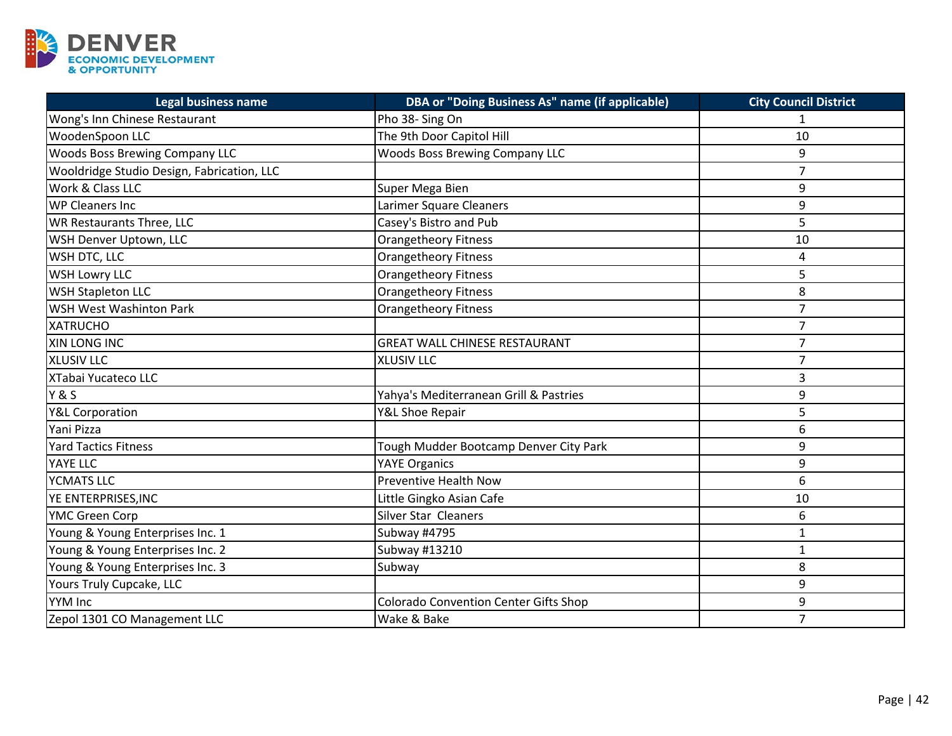

| <b>Legal business name</b>                 | <b>DBA or "Doing Business As" name (if applicable)</b> | <b>City Council District</b> |
|--------------------------------------------|--------------------------------------------------------|------------------------------|
| Wong's Inn Chinese Restaurant              | Pho 38- Sing On                                        |                              |
| WoodenSpoon LLC                            | The 9th Door Capitol Hill                              | 10                           |
| <b>Woods Boss Brewing Company LLC</b>      | <b>Woods Boss Brewing Company LLC</b>                  | 9                            |
| Wooldridge Studio Design, Fabrication, LLC |                                                        | $\overline{7}$               |
| Work & Class LLC                           | Super Mega Bien                                        | 9                            |
| <b>WP Cleaners Inc.</b>                    | Larimer Square Cleaners                                | 9                            |
| WR Restaurants Three, LLC                  | Casey's Bistro and Pub                                 | 5                            |
| WSH Denver Uptown, LLC                     | <b>Orangetheory Fitness</b>                            | 10                           |
| WSH DTC, LLC                               | <b>Orangetheory Fitness</b>                            | 4                            |
| <b>WSH Lowry LLC</b>                       | <b>Orangetheory Fitness</b>                            | 5                            |
| <b>WSH Stapleton LLC</b>                   | Orangetheory Fitness                                   | 8                            |
| <b>WSH West Washinton Park</b>             | <b>Orangetheory Fitness</b>                            | $\overline{7}$               |
| <b>XATRUCHO</b>                            |                                                        | $\overline{7}$               |
| XIN LONG INC                               | <b>GREAT WALL CHINESE RESTAURANT</b>                   | $\overline{7}$               |
| <b>XLUSIV LLC</b>                          | <b>XLUSIV LLC</b>                                      | $\overline{7}$               |
| XTabai Yucateco LLC                        |                                                        | 3                            |
| <b>Y&amp;S</b>                             | Yahya's Mediterranean Grill & Pastries                 | 9                            |
| Y&L Corporation                            | Y&L Shoe Repair                                        | 5                            |
| Yani Pizza                                 |                                                        | 6                            |
| <b>Yard Tactics Fitness</b>                | Tough Mudder Bootcamp Denver City Park                 | 9                            |
| YAYE LLC                                   | <b>YAYE Organics</b>                                   | 9                            |
| YCMATS LLC                                 | <b>Preventive Health Now</b>                           | 6                            |
| YE ENTERPRISES, INC                        | Little Gingko Asian Cafe                               | 10                           |
| YMC Green Corp                             | Silver Star Cleaners                                   | 6                            |
| Young & Young Enterprises Inc. 1           | Subway #4795                                           | $\mathbf{1}$                 |
| Young & Young Enterprises Inc. 2           | Subway #13210                                          | $\mathbf{1}$                 |
| Young & Young Enterprises Inc. 3           | Subway                                                 | 8                            |
| Yours Truly Cupcake, LLC                   |                                                        | 9                            |
| <b>YYM Inc</b>                             | <b>Colorado Convention Center Gifts Shop</b>           | 9                            |
| Zepol 1301 CO Management LLC               | Wake & Bake                                            | $\overline{7}$               |